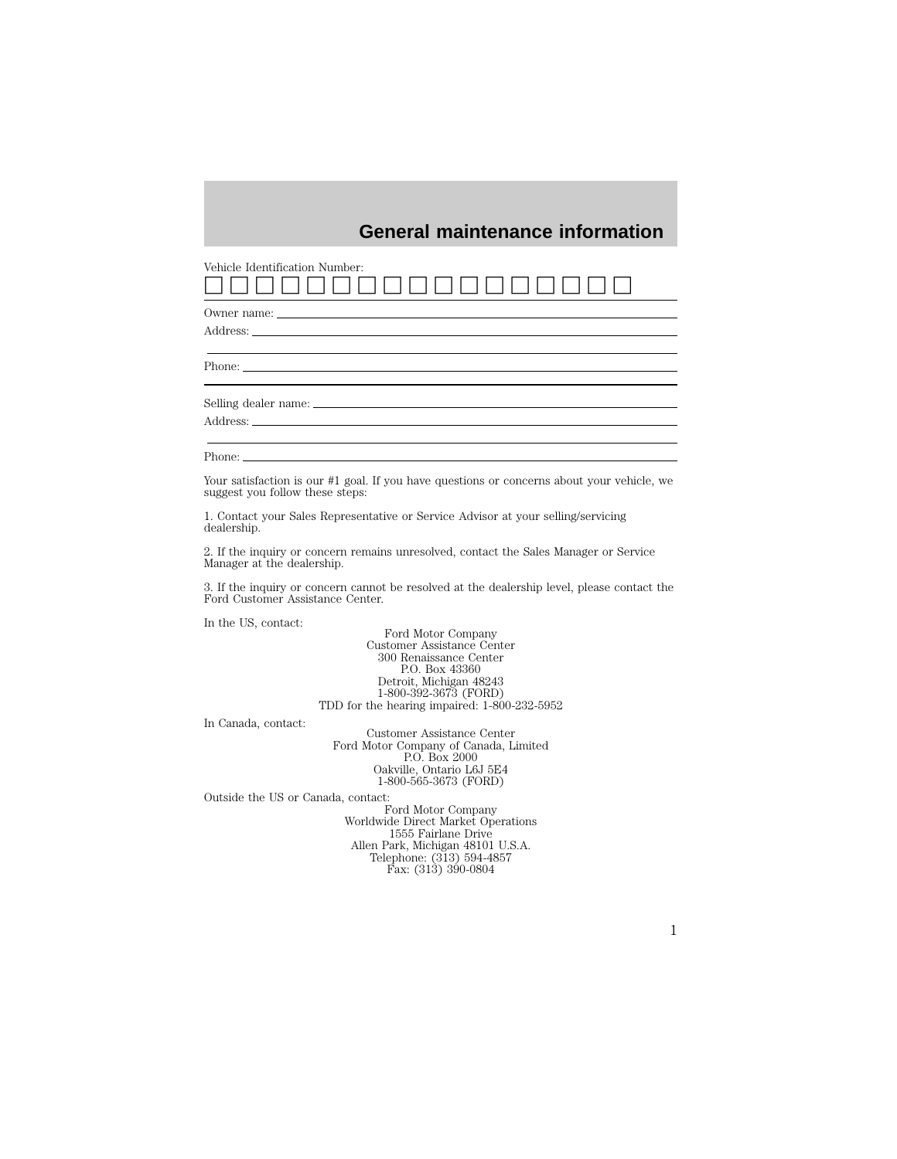## **General maintenance information**

#### Vehicle Identification Number: uuuuuuuuuuuuuuuuu

Owner name:

Address:  $\_\_$ 

Phone:  $\_\_$ 

Selling dealer name:

Address:

Phone: \_

Your satisfaction is our #1 goal. If you have questions or concerns about your vehicle, we suggest you follow these steps:

1. Contact your Sales Representative or Service Advisor at your selling/servicing dealership.

2. If the inquiry or concern remains unresolved, contact the Sales Manager or Service Manager at the dealership.

3. If the inquiry or concern cannot be resolved at the dealership level, please contact the Ford Customer Assistance Center.

In the US, contact: Ford Motor Company Customer Assistance Center 300 Renaissance Center P.O. Box 43360 Detroit, Michigan 48243 1-800-392-3673 (FORD) TDD for the hearing impaired: 1-800-232-5952

In Canada, contact: Customer Assistance Center Ford Motor Company of Canada, Limited P.O. Box 2000 Oakville, Ontario L6J 5E4 1-800-565-3673 (FORD)

Outside the US or Canada, contact:

Ford Motor Company Worldwide Direct Market Operations 1555 Fairlane Drive Allen Park, Michigan 48101 U.S.A. Telephone: (313) 594-4857 Fax: (313) 390-0804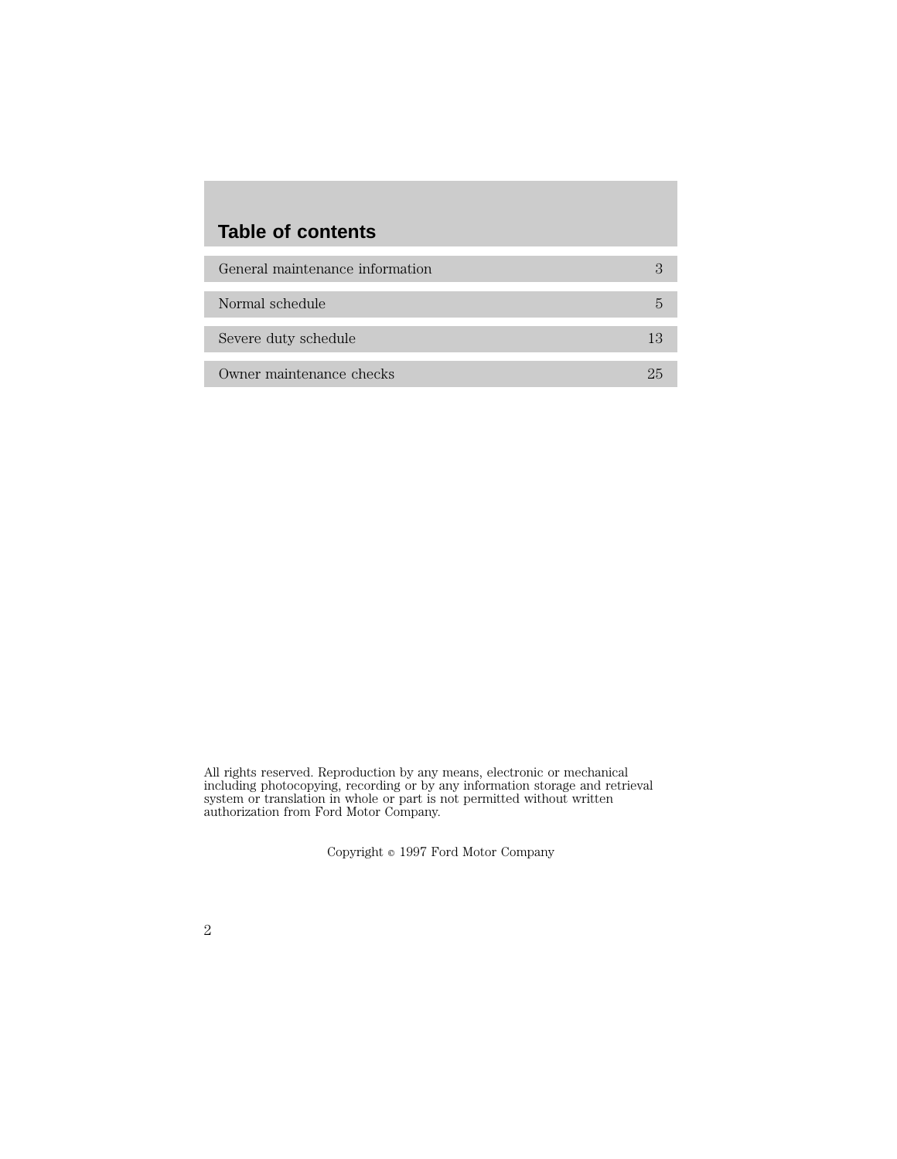# **Table of contents**

| General maintenance information |  |
|---------------------------------|--|
| Normal schedule                 |  |
| Severe duty schedule            |  |
| Owner maintenance checks        |  |

All rights reserved. Reproduction by any means, electronic or mechanical including photocopying, recording or by any information storage and retrieval system or translation in whole or part is not permitted without written authorization from Ford Motor Company.

Copyright  $\circ$  1997 Ford Motor Company

|  | PU 1   |         |  |
|--|--------|---------|--|
|  |        |         |  |
|  | I<br>i | ۰.<br>٦ |  |
|  |        |         |  |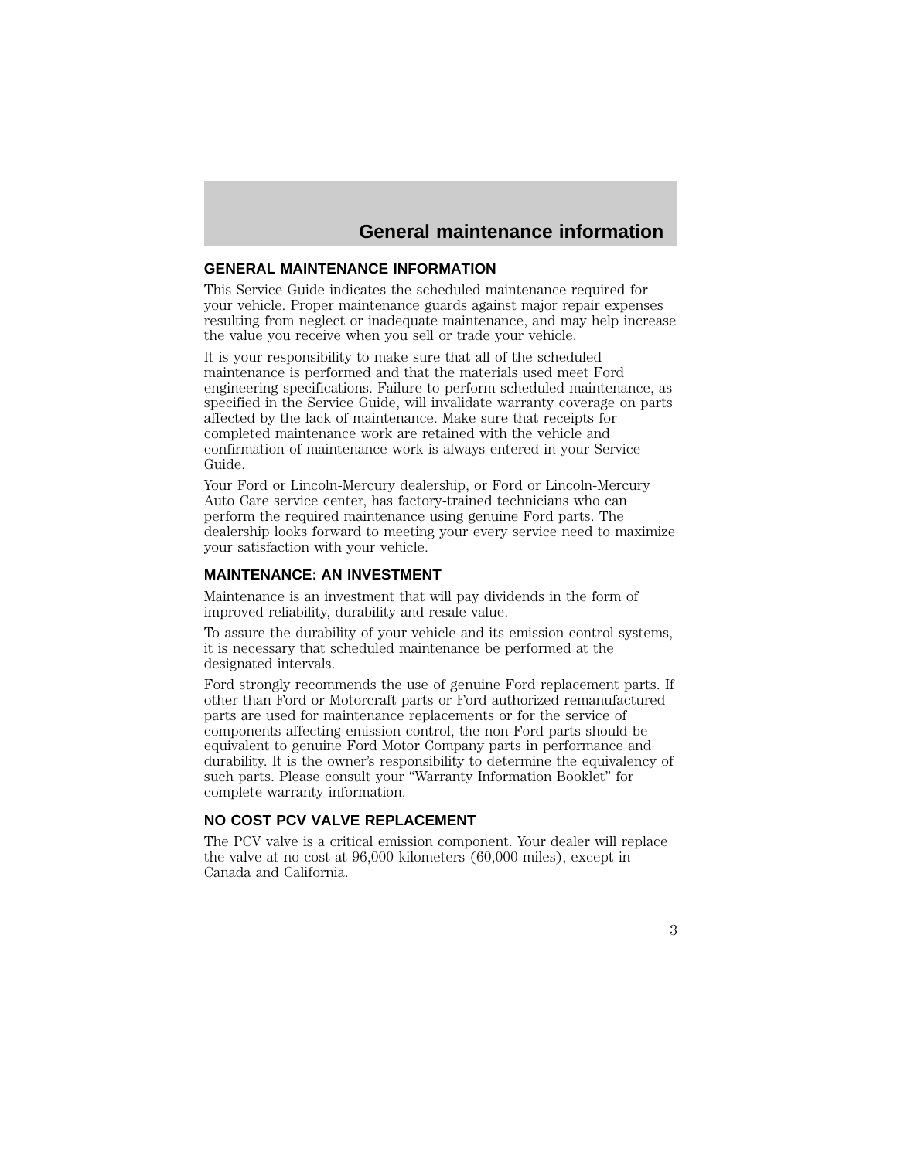## **General maintenance information**

#### **GENERAL MAINTENANCE INFORMATION**

This Service Guide indicates the scheduled maintenance required for your vehicle. Proper maintenance guards against major repair expenses resulting from neglect or inadequate maintenance, and may help increase the value you receive when you sell or trade your vehicle.

It is your responsibility to make sure that all of the scheduled maintenance is performed and that the materials used meet Ford engineering specifications. Failure to perform scheduled maintenance, as specified in the Service Guide, will invalidate warranty coverage on parts affected by the lack of maintenance. Make sure that receipts for completed maintenance work are retained with the vehicle and confirmation of maintenance work is always entered in your Service Guide.

Your Ford or Lincoln-Mercury dealership, or Ford or Lincoln-Mercury Auto Care service center, has factory-trained technicians who can perform the required maintenance using genuine Ford parts. The dealership looks forward to meeting your every service need to maximize your satisfaction with your vehicle.

#### **MAINTENANCE: AN INVESTMENT**

Maintenance is an investment that will pay dividends in the form of improved reliability, durability and resale value.

To assure the durability of your vehicle and its emission control systems, it is necessary that scheduled maintenance be performed at the designated intervals.

Ford strongly recommends the use of genuine Ford replacement parts. If other than Ford or Motorcraft parts or Ford authorized remanufactured parts are used for maintenance replacements or for the service of components affecting emission control, the non-Ford parts should be equivalent to genuine Ford Motor Company parts in performance and durability. It is the owner's responsibility to determine the equivalency of such parts. Please consult your "Warranty Information Booklet" for complete warranty information.

#### **NO COST PCV VALVE REPLACEMENT**

The PCV valve is a critical emission component. Your dealer will replace the valve at no cost at 96,000 kilometers (60,000 miles), except in Canada and California.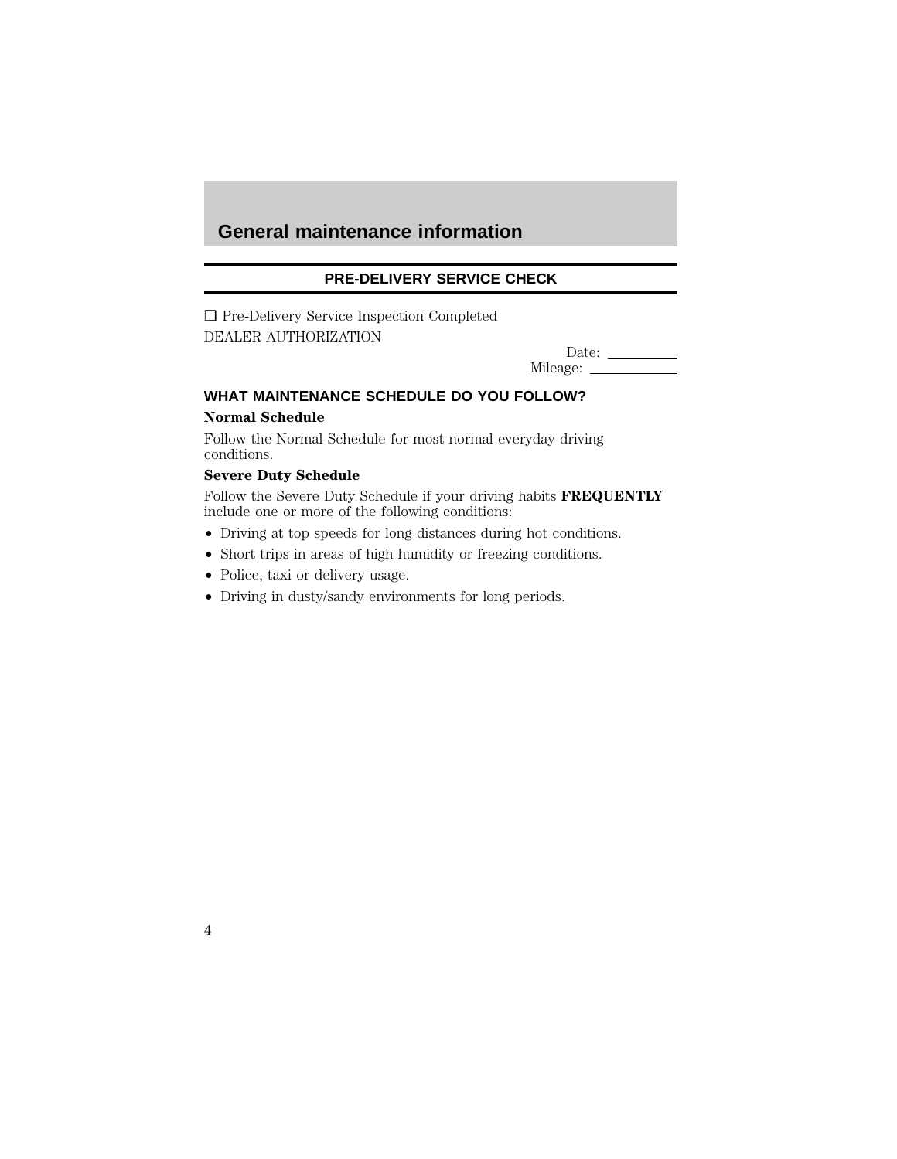# **General maintenance information**

#### **PRE-DELIVERY SERVICE CHECK**

❑ Pre-Delivery Service Inspection Completed DEALER AUTHORIZATION

| Date:    |  |
|----------|--|
| Mileage: |  |

#### **WHAT MAINTENANCE SCHEDULE DO YOU FOLLOW?**

#### **Normal Schedule**

4

Follow the Normal Schedule for most normal everyday driving conditions.

### **Severe Duty Schedule**

Follow the Severe Duty Schedule if your driving habits **FREQUENTLY** include one or more of the following conditions:

- Driving at top speeds for long distances during hot conditions.
- Short trips in areas of high humidity or freezing conditions.
- Police, taxi or delivery usage.
- Driving in dusty/sandy environments for long periods.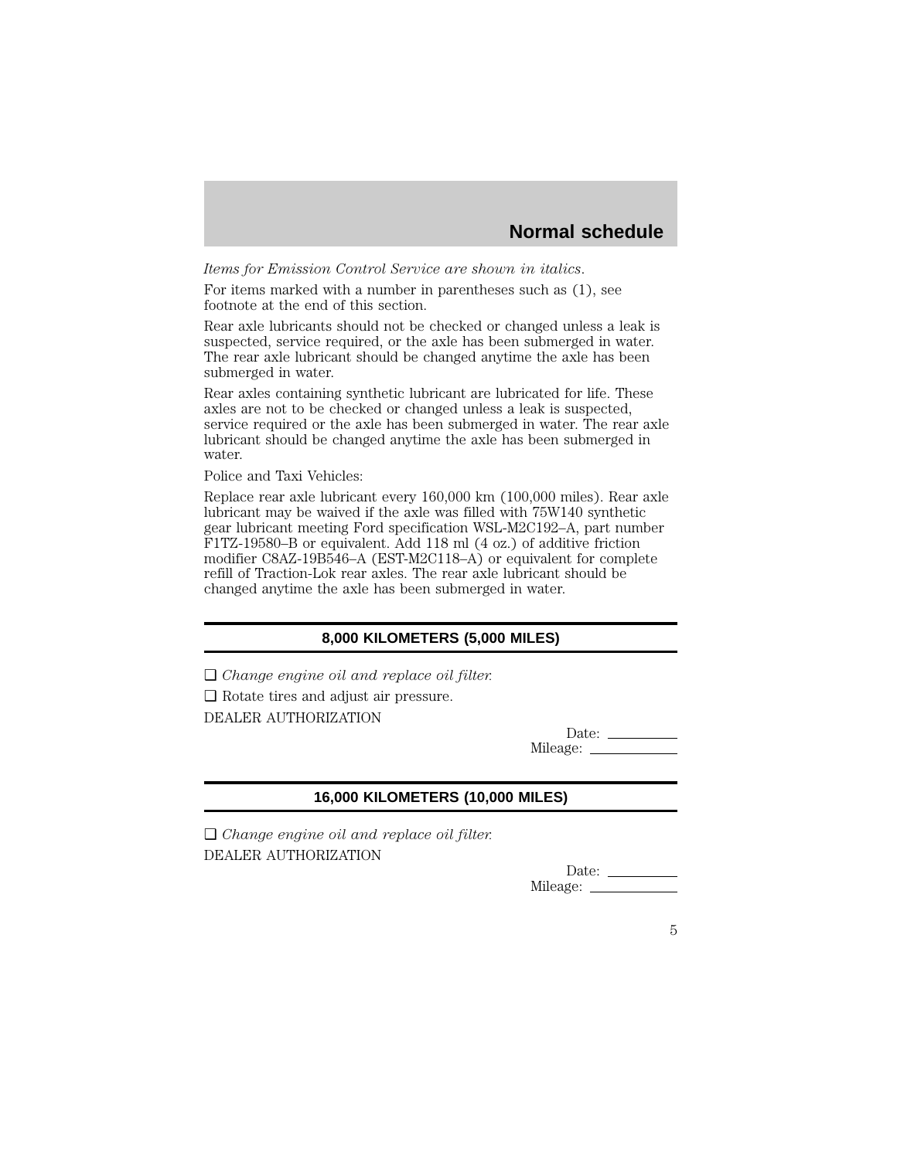*Items for Emission Control Service are shown in italics*.

For items marked with a number in parentheses such as (1), see footnote at the end of this section.

Rear axle lubricants should not be checked or changed unless a leak is suspected, service required, or the axle has been submerged in water. The rear axle lubricant should be changed anytime the axle has been submerged in water.

Rear axles containing synthetic lubricant are lubricated for life. These axles are not to be checked or changed unless a leak is suspected, service required or the axle has been submerged in water. The rear axle lubricant should be changed anytime the axle has been submerged in water.

Police and Taxi Vehicles:

Replace rear axle lubricant every 160,000 km (100,000 miles). Rear axle lubricant may be waived if the axle was filled with 75W140 synthetic gear lubricant meeting Ford specification WSL-M2C192–A, part number F1TZ-19580–B or equivalent. Add 118 ml (4 oz.) of additive friction modifier C8AZ-19B546–A (EST-M2C118–A) or equivalent for complete refill of Traction-Lok rear axles. The rear axle lubricant should be changed anytime the axle has been submerged in water.

#### **8,000 KILOMETERS (5,000 MILES)**

❑ *Change engine oil and replace oil filter.* ❑ Rotate tires and adjust air pressure. DEALER AUTHORIZATION

> Date: Mileage:

### **16,000 KILOMETERS (10,000 MILES)**

❑ *Change engine oil and replace oil filter.* DEALER AUTHORIZATION

Date:  $\_\_$ Mileage: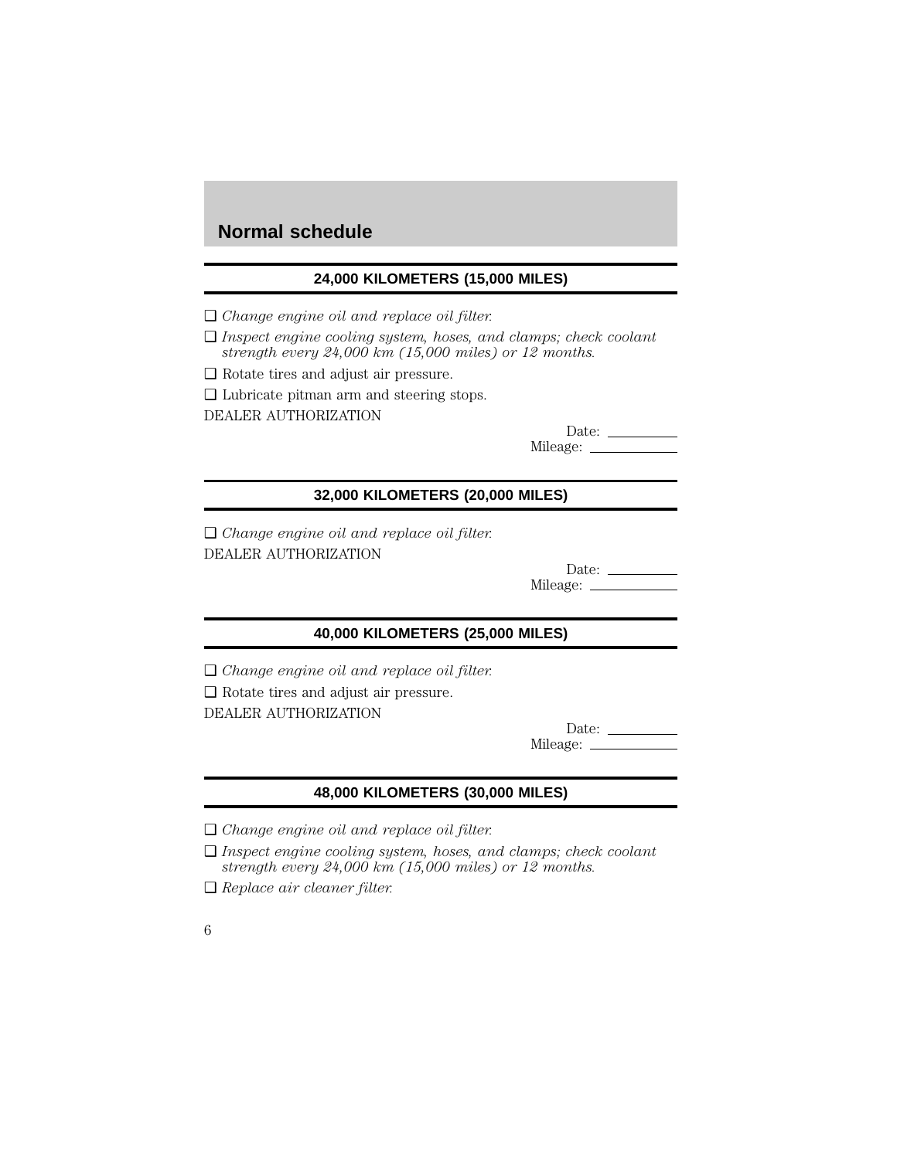#### **24,000 KILOMETERS (15,000 MILES)**

- ❑ *Change engine oil and replace oil filter.*
- ❑ *Inspect engine cooling system, hoses, and clamps; check coolant strength every 24,000 km (15,000 miles) or 12 months.*
- ❑ Rotate tires and adjust air pressure.
- ❑ Lubricate pitman arm and steering stops.

DEALER AUTHORIZATION

Date:  $\_\_\_\_\_\_\_\_\_\_\_\_\_\_\_\_\_\_\_\_\_\_\_\_\_\_\_\_$ Mileage:

## **32,000 KILOMETERS (20,000 MILES)**

❑ *Change engine oil and replace oil filter.* DEALER AUTHORIZATION

| Date:    |  |
|----------|--|
| Mileage: |  |

#### **40,000 KILOMETERS (25,000 MILES)**

❑ *Change engine oil and replace oil filter.*

❑ Rotate tires and adjust air pressure. DEALER AUTHORIZATION

Date: Mileage:

### **48,000 KILOMETERS (30,000 MILES)**

- ❑ *Change engine oil and replace oil filter.*
- ❑ *Inspect engine cooling system, hoses, and clamps; check coolant strength every 24,000 km (15,000 miles) or 12 months.*
- ❑ *Replace air cleaner filter.*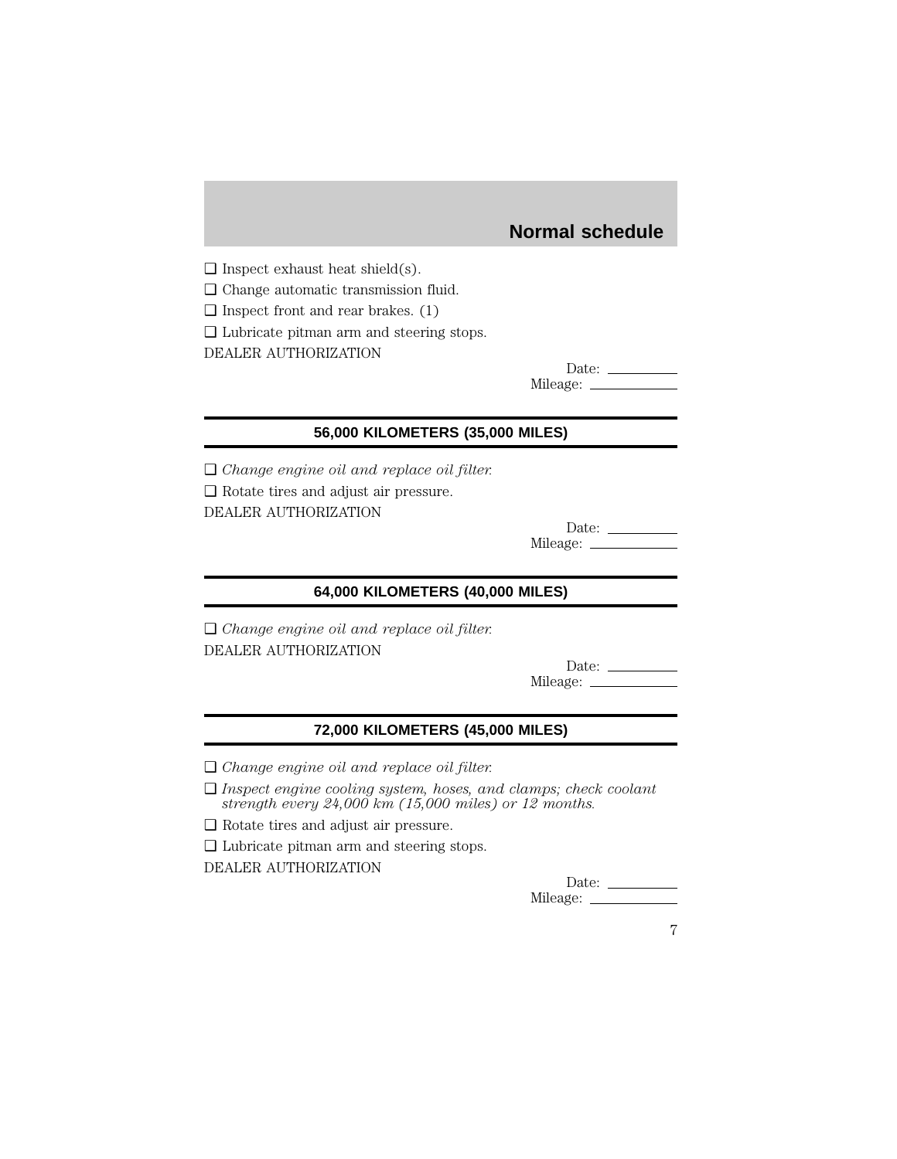$\Box$  Inspect exhaust heat shield(s).

❑ Change automatic transmission fluid.

 $\Box$  Inspect front and rear brakes. (1)

❑ Lubricate pitman arm and steering stops.

DEALER AUTHORIZATION

| Date:    |  |
|----------|--|
| Mileage: |  |

#### **56,000 KILOMETERS (35,000 MILES)**

❑ *Change engine oil and replace oil filter.* ❑ Rotate tires and adjust air pressure. DEALER AUTHORIZATION

| Date:    |  |
|----------|--|
| Mileage: |  |

### **64,000 KILOMETERS (40,000 MILES)**

❑ *Change engine oil and replace oil filter.* DEALER AUTHORIZATION

Date: Mileage:

#### **72,000 KILOMETERS (45,000 MILES)**

❑ *Change engine oil and replace oil filter.*

❑ *Inspect engine cooling system, hoses, and clamps; check coolant strength every 24,000 km (15,000 miles) or 12 months.*

❑ Rotate tires and adjust air pressure.

❑ Lubricate pitman arm and steering stops.

DEALER AUTHORIZATION

Date: Mileage: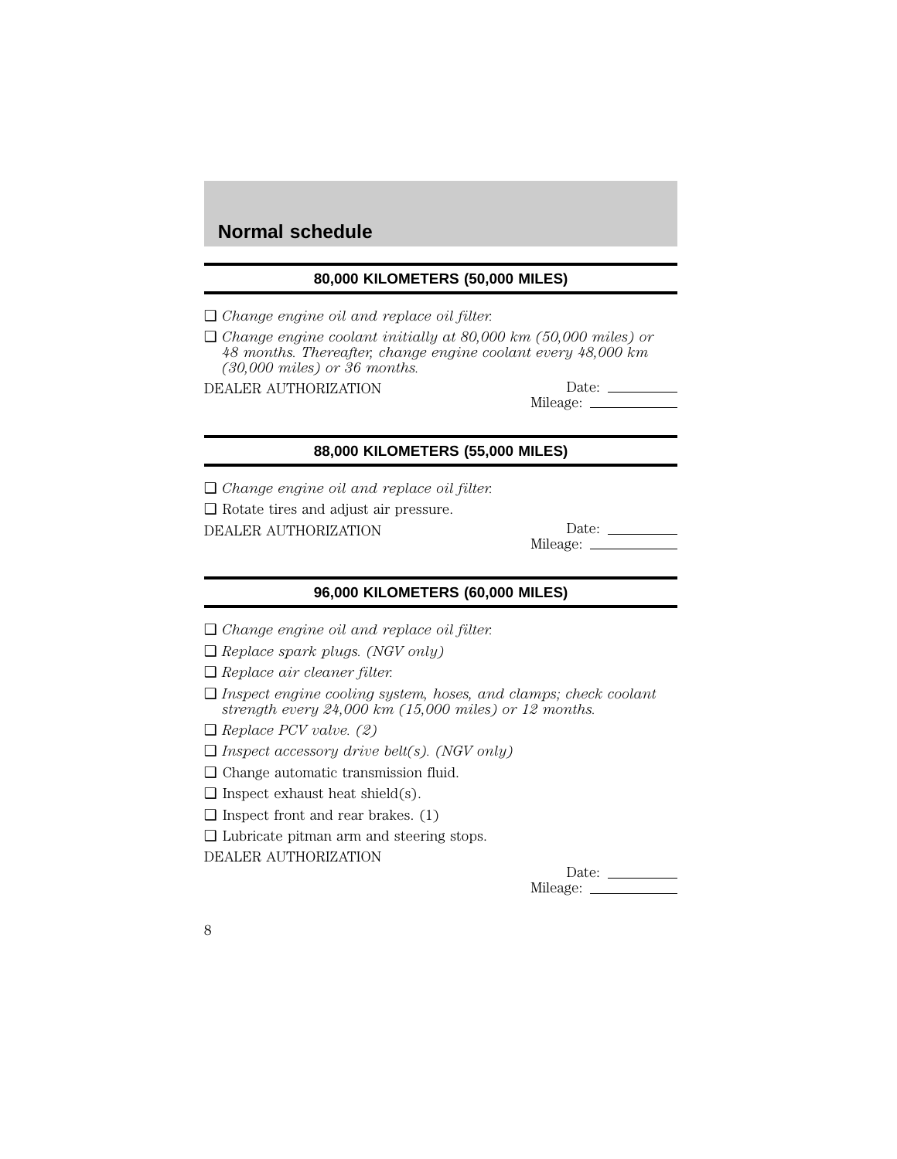#### **80,000 KILOMETERS (50,000 MILES)**

❑ *Change engine oil and replace oil filter.*

❑ *Change engine coolant initially at 80,000 km (50,000 miles) or 48 months. Thereafter, change engine coolant every 48,000 km (30,000 miles) or 36 months.*

DEALER AUTHORIZATION

| Date:    |  |
|----------|--|
| Mileage: |  |

#### **88,000 KILOMETERS (55,000 MILES)**

❑ *Change engine oil and replace oil filter.* ❑ Rotate tires and adjust air pressure.

DEALER AUTHORIZATION

| Date:    |  |
|----------|--|
| Mileage: |  |

#### **96,000 KILOMETERS (60,000 MILES)**

- ❑ *Change engine oil and replace oil filter.*
- ❑ *Replace spark plugs. (NGV only)*
- ❑ *Replace air cleaner filter.*
- ❑ *Inspect engine cooling system, hoses, and clamps; check coolant strength every 24,000 km (15,000 miles) or 12 months.*
- ❑ *Replace PCV valve. (2)*
- ❑ *Inspect accessory drive belt(s). (NGV only)*
- ❑ Change automatic transmission fluid.
- $\Box$  Inspect exhaust heat shield(s).
- $\Box$  Inspect front and rear brakes. (1)
- ❑ Lubricate pitman arm and steering stops.

DEALER AUTHORIZATION

Date:  $\_\_$ Mileage: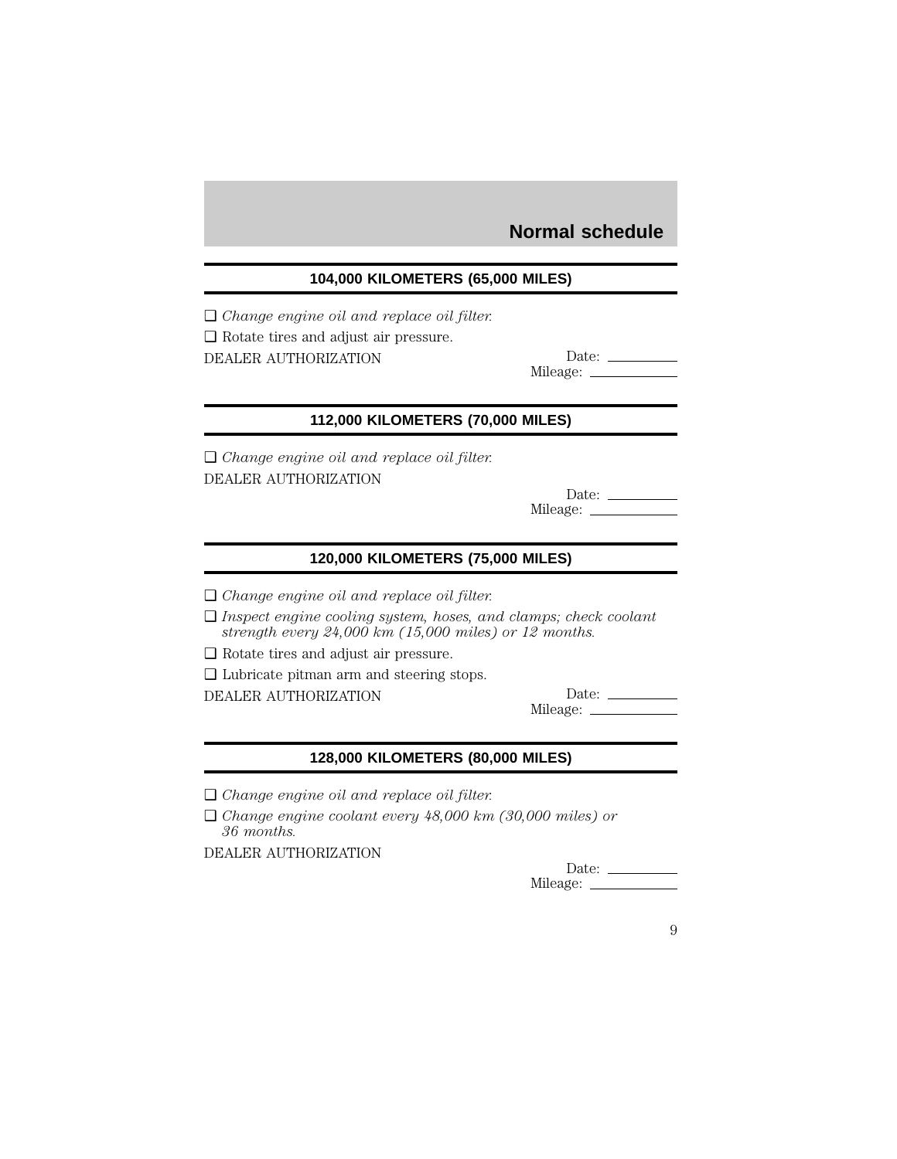### **104,000 KILOMETERS (65,000 MILES)**

❑ *Change engine oil and replace oil filter.* ❑ Rotate tires and adjust air pressure. DEALER AUTHORIZATION

| Date:    |  |
|----------|--|
| Mileage: |  |

#### **112,000 KILOMETERS (70,000 MILES)**

❑ *Change engine oil and replace oil filter.* DEALER AUTHORIZATION

Date: Mileage:

## **120,000 KILOMETERS (75,000 MILES)**

❑ *Change engine oil and replace oil filter.*

❑ *Inspect engine cooling system, hoses, and clamps; check coolant strength every 24,000 km (15,000 miles) or 12 months.*

❑ Rotate tires and adjust air pressure.

❑ Lubricate pitman arm and steering stops.

DEALER AUTHORIZATION Date:

Mileage:

### **128,000 KILOMETERS (80,000 MILES)**

❑ *Change engine oil and replace oil filter.*

❑ *Change engine coolant every 48,000 km (30,000 miles) or 36 months.*

DEALER AUTHORIZATION

Date: Mileage: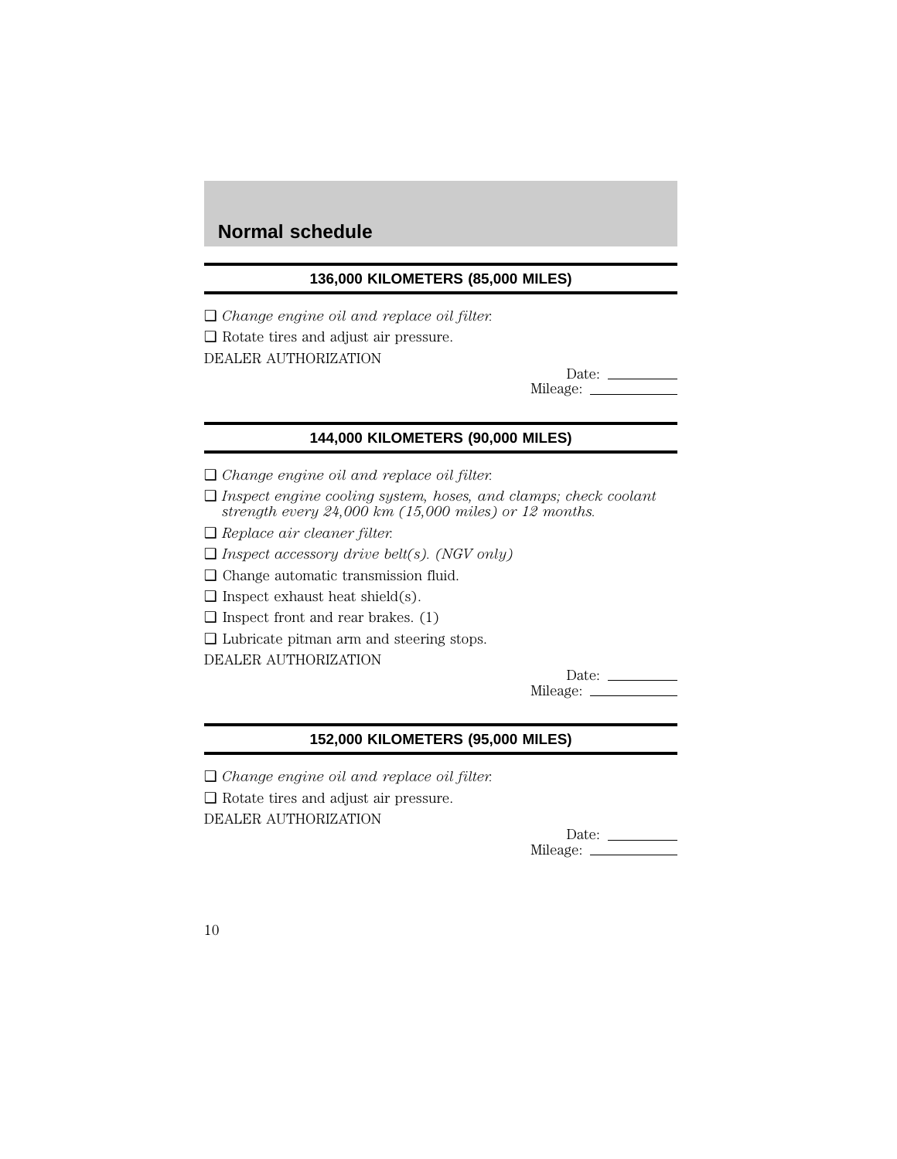### **136,000 KILOMETERS (85,000 MILES)**

❑ *Change engine oil and replace oil filter.* ❑ Rotate tires and adjust air pressure. DEALER AUTHORIZATION

> Date: Mileage:

#### **144,000 KILOMETERS (90,000 MILES)**

- ❑ *Change engine oil and replace oil filter.*
- ❑ *Inspect engine cooling system, hoses, and clamps; check coolant strength every 24,000 km (15,000 miles) or 12 months.*
- ❑ *Replace air cleaner filter.*
- ❑ *Inspect accessory drive belt(s). (NGV only)*
- ❑ Change automatic transmission fluid.
- $\Box$  Inspect exhaust heat shield(s).
- $\Box$  Inspect front and rear brakes. (1)
- ❑ Lubricate pitman arm and steering stops.

DEALER AUTHORIZATION

Date: Mileage:

#### **152,000 KILOMETERS (95,000 MILES)**

❑ *Change engine oil and replace oil filter.*

❑ Rotate tires and adjust air pressure.

DEALER AUTHORIZATION

Date: Mileage: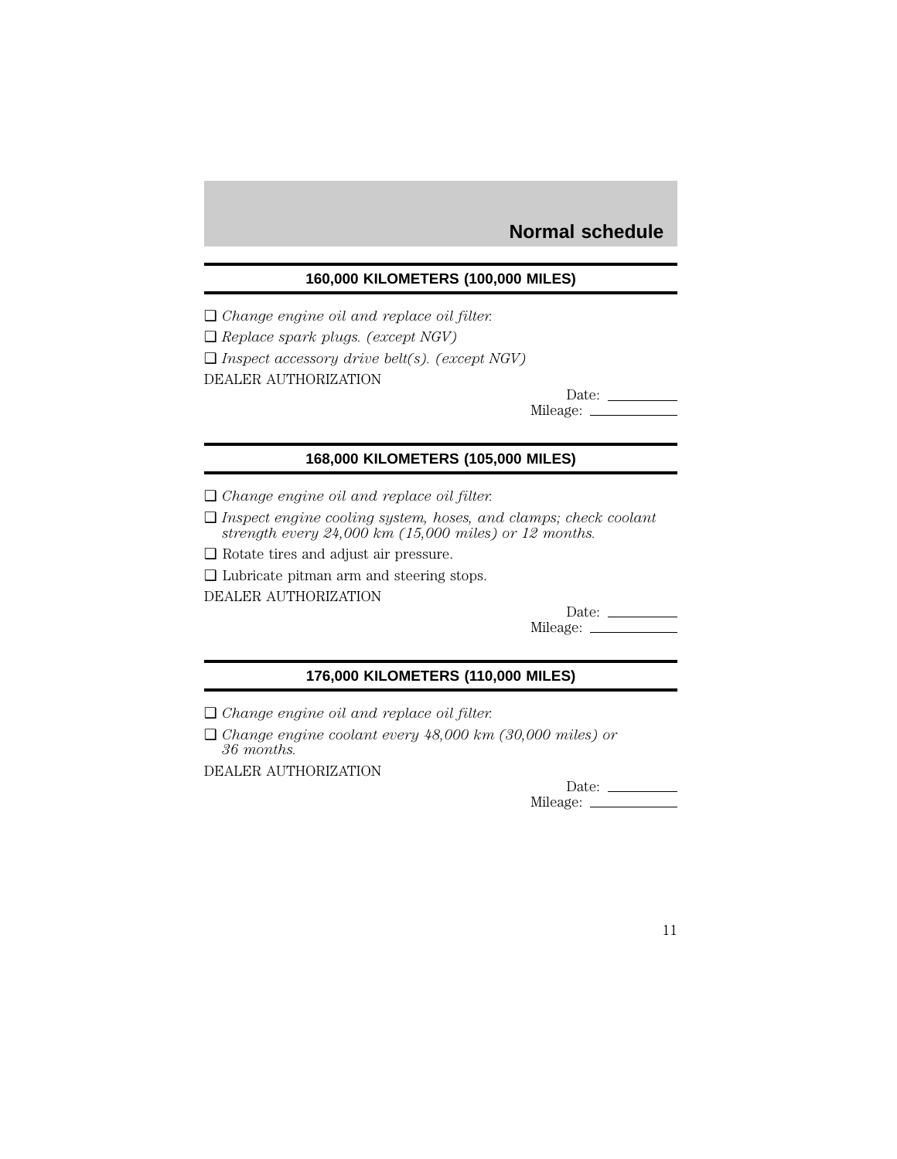## **160,000 KILOMETERS (100,000 MILES)**

❑ *Change engine oil and replace oil filter.*

❑ *Replace spark plugs. (except NGV)*

❑ *Inspect accessory drive belt(s). (except NGV)*

DEALER AUTHORIZATION

Date: Mileage:

## **168,000 KILOMETERS (105,000 MILES)**

❑ *Change engine oil and replace oil filter.*

❑ *Inspect engine cooling system, hoses, and clamps; check coolant strength every 24,000 km (15,000 miles) or 12 months.*

- ❑ Rotate tires and adjust air pressure.
- ❑ Lubricate pitman arm and steering stops.
- DEALER AUTHORIZATION

Date: Mileage:

## **176,000 KILOMETERS (110,000 MILES)**

- ❑ *Change engine oil and replace oil filter.*
- ❑ *Change engine coolant every 48,000 km (30,000 miles) or 36 months.*

DEALER AUTHORIZATION

| Date:    |  |
|----------|--|
| Mileage: |  |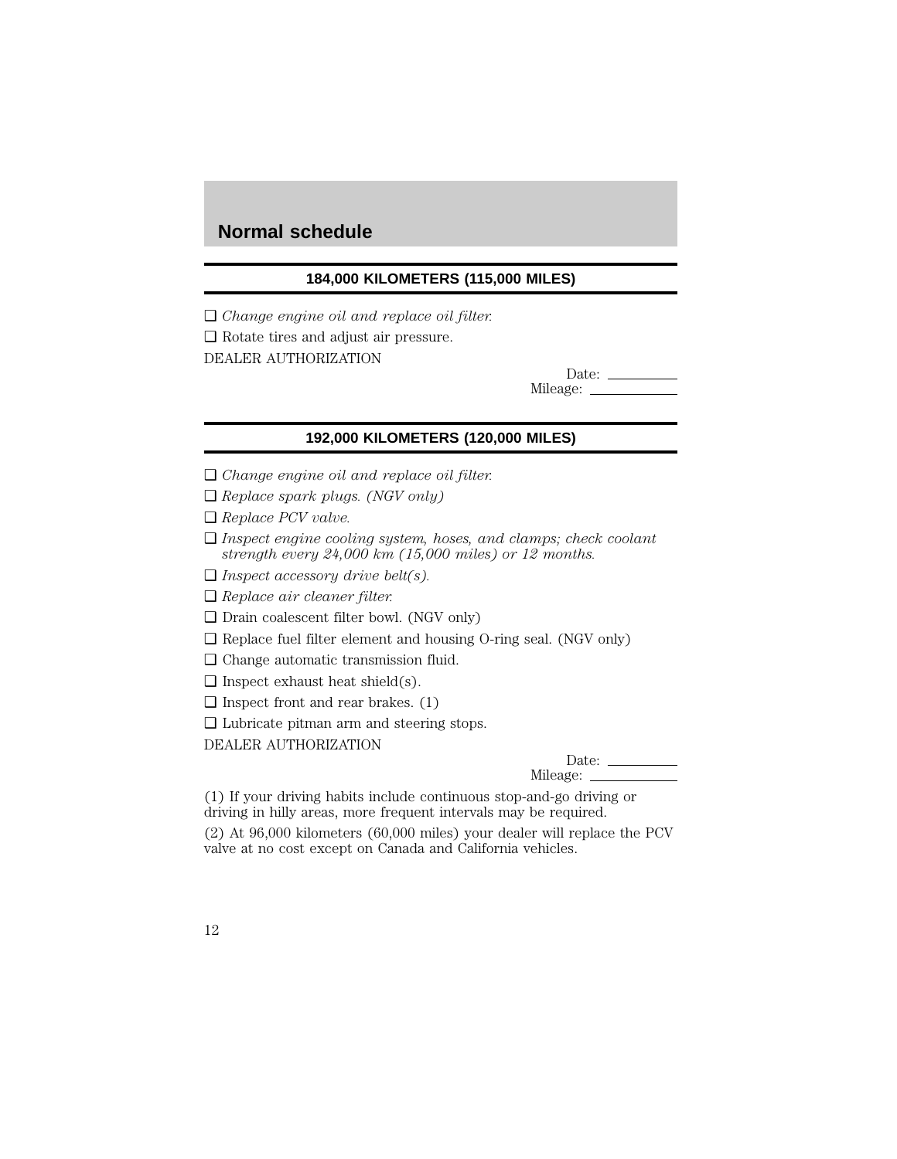#### **184,000 KILOMETERS (115,000 MILES)**

❑ *Change engine oil and replace oil filter.* ❑ Rotate tires and adjust air pressure. DEALER AUTHORIZATION

Date:  $\_\_$ Mileage:

#### **192,000 KILOMETERS (120,000 MILES)**

- ❑ *Change engine oil and replace oil filter.*
- ❑ *Replace spark plugs. (NGV only)*
- ❑ *Replace PCV valve.*
- ❑ *Inspect engine cooling system, hoses, and clamps; check coolant strength every 24,000 km (15,000 miles) or 12 months.*
- ❑ *Inspect accessory drive belt(s).*
- ❑ *Replace air cleaner filter.*
- ❑ Drain coalescent filter bowl. (NGV only)
- ❑ Replace fuel filter element and housing O-ring seal. (NGV only)
- ❑ Change automatic transmission fluid.
- $\Box$  Inspect exhaust heat shield(s).
- $\Box$  Inspect front and rear brakes. (1)
- ❑ Lubricate pitman arm and steering stops.

DEALER AUTHORIZATION

| Date:    |  |
|----------|--|
| Mileage: |  |

(1) If your driving habits include continuous stop-and-go driving or driving in hilly areas, more frequent intervals may be required.

(2) At 96,000 kilometers (60,000 miles) your dealer will replace the PCV valve at no cost except on Canada and California vehicles.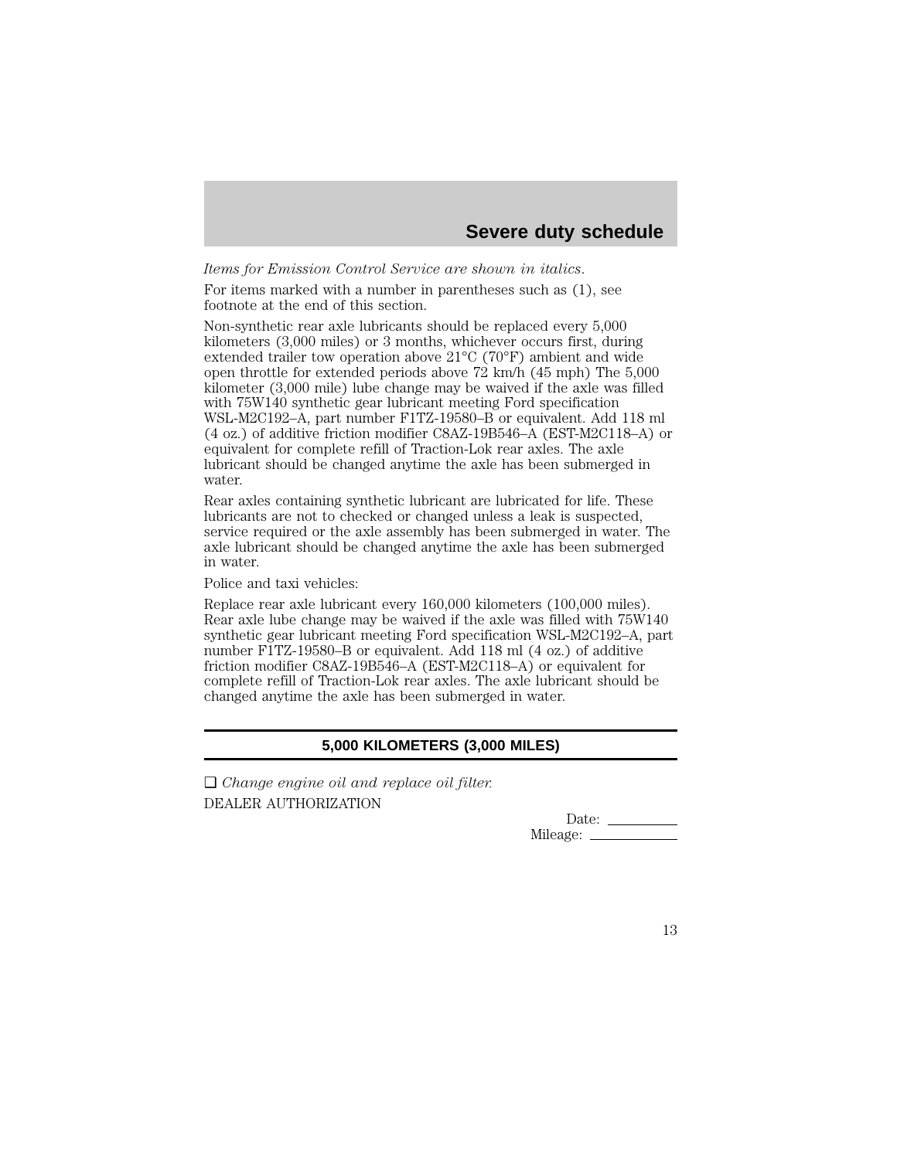*Items for Emission Control Service are shown in italics*.

For items marked with a number in parentheses such as (1), see footnote at the end of this section.

Non-synthetic rear axle lubricants should be replaced every 5,000 kilometers (3,000 miles) or 3 months, whichever occurs first, during extended trailer tow operation above 21°C (70°F) ambient and wide open throttle for extended periods above 72 km/h (45 mph) The 5,000 kilometer (3,000 mile) lube change may be waived if the axle was filled with 75W140 synthetic gear lubricant meeting Ford specification WSL-M2C192–A, part number F1TZ-19580–B or equivalent. Add 118 ml (4 oz.) of additive friction modifier C8AZ-19B546–A (EST-M2C118–A) or equivalent for complete refill of Traction-Lok rear axles. The axle lubricant should be changed anytime the axle has been submerged in water.

Rear axles containing synthetic lubricant are lubricated for life. These lubricants are not to checked or changed unless a leak is suspected, service required or the axle assembly has been submerged in water. The axle lubricant should be changed anytime the axle has been submerged in water.

Police and taxi vehicles:

Replace rear axle lubricant every 160,000 kilometers (100,000 miles). Rear axle lube change may be waived if the axle was filled with 75W140 synthetic gear lubricant meeting Ford specification WSL-M2C192–A, part number F1TZ-19580–B or equivalent. Add 118 ml (4 oz.) of additive friction modifier C8AZ-19B546–A (EST-M2C118–A) or equivalent for complete refill of Traction-Lok rear axles. The axle lubricant should be changed anytime the axle has been submerged in water.

#### **5,000 KILOMETERS (3,000 MILES)**

❑ *Change engine oil and replace oil filter.* DEALER AUTHORIZATION

Date:  $\_\_$ Mileage:  $\_\_$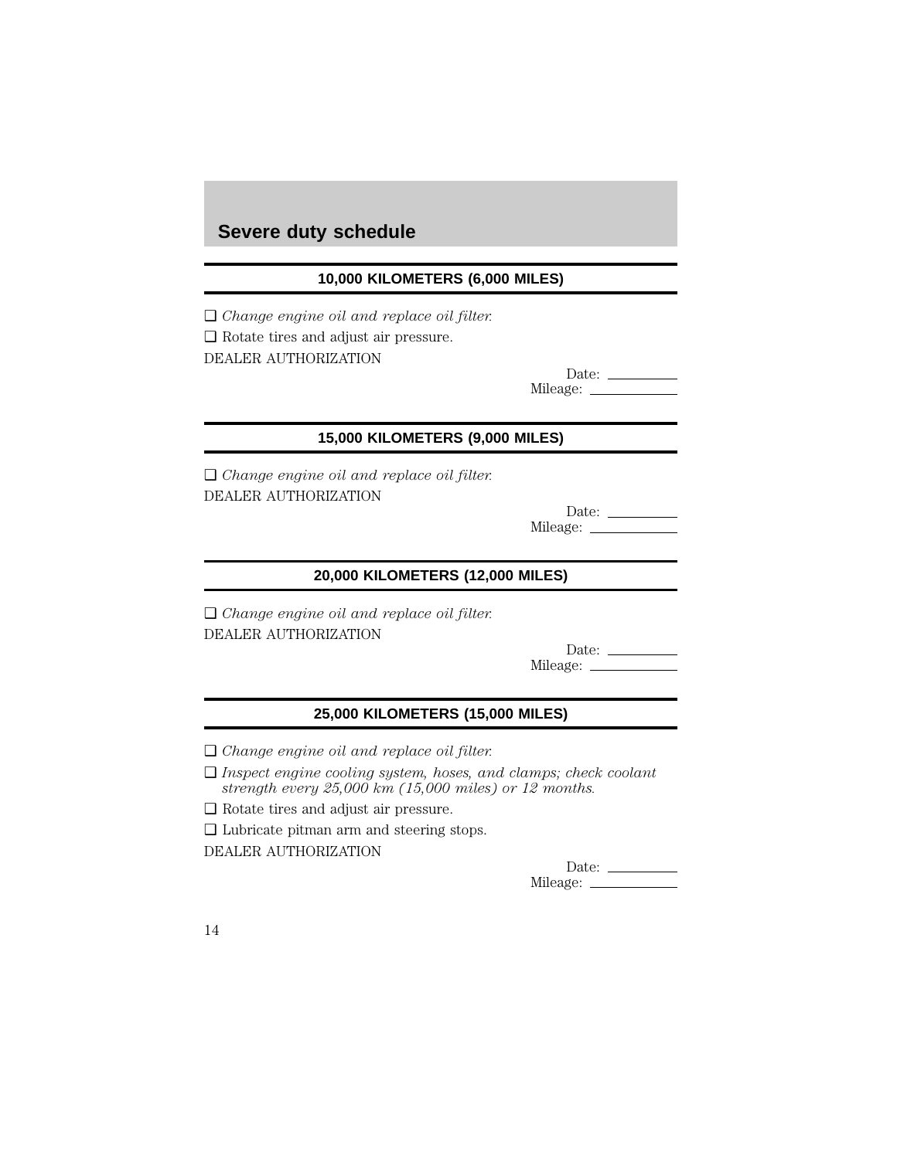## **10,000 KILOMETERS (6,000 MILES)**

❑ *Change engine oil and replace oil filter.* ❑ Rotate tires and adjust air pressure. DEALER AUTHORIZATION

| Date:    |  |
|----------|--|
| Mileage: |  |

## **15,000 KILOMETERS (9,000 MILES)**

❑ *Change engine oil and replace oil filter.* DEALER AUTHORIZATION

| Date:    |  |
|----------|--|
| Mileage: |  |

#### **20,000 KILOMETERS (12,000 MILES)**

❑ *Change engine oil and replace oil filter.* DEALER AUTHORIZATION

| Date:    |  |
|----------|--|
| Mileage: |  |

#### **25,000 KILOMETERS (15,000 MILES)**

❑ *Change engine oil and replace oil filter.*

❑ *Inspect engine cooling system, hoses, and clamps; check coolant strength every 25,000 km (15,000 miles) or 12 months.*

❑ Rotate tires and adjust air pressure.

❑ Lubricate pitman arm and steering stops.

DEALER AUTHORIZATION

Date:  $\_\_$ Mileage: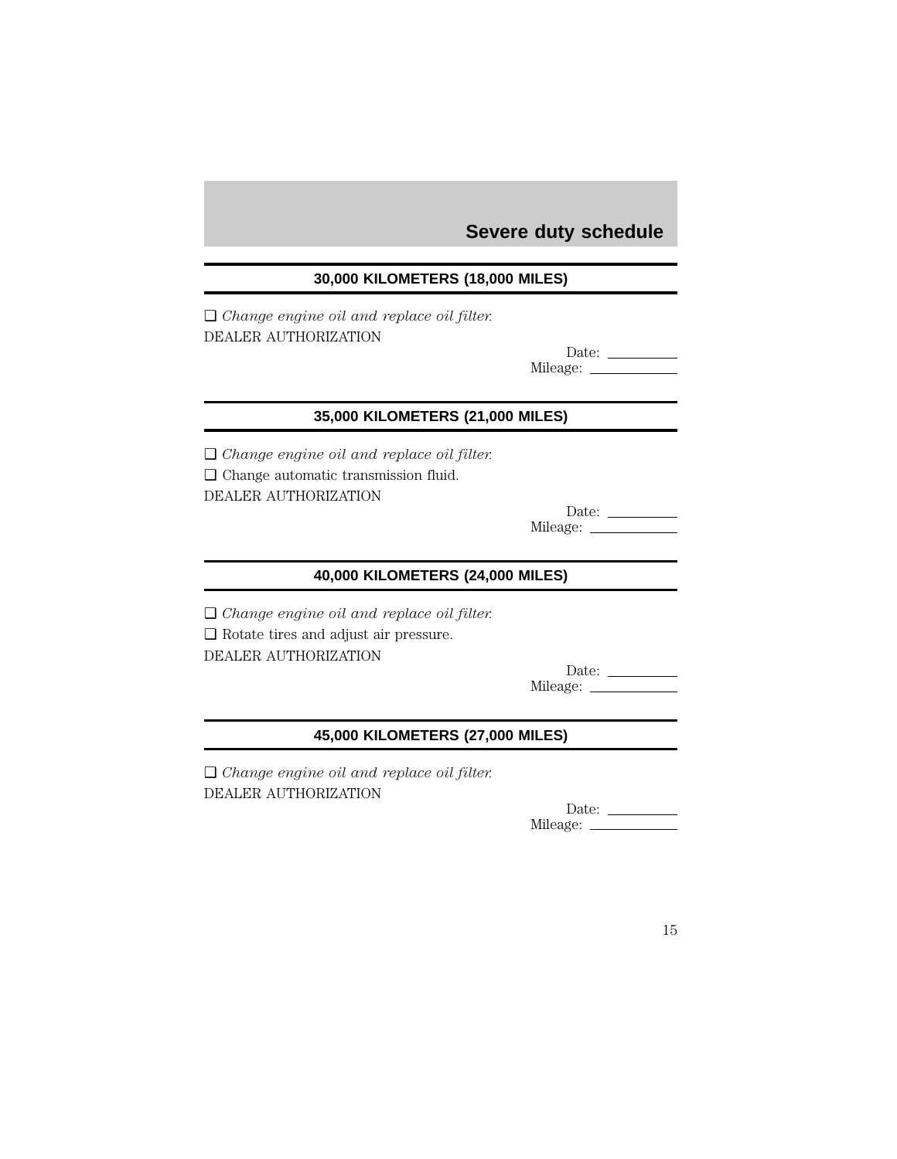## **30,000 KILOMETERS (18,000 MILES)**

❑ *Change engine oil and replace oil filter.* DEALER AUTHORIZATION

| Date:    |  |
|----------|--|
| Mileage: |  |

## **35,000 KILOMETERS (21,000 MILES)**

❑ *Change engine oil and replace oil filter.* ❑ Change automatic transmission fluid. DEALER AUTHORIZATION

| Date:    |  |
|----------|--|
| Mileage: |  |

## **40,000 KILOMETERS (24,000 MILES)**

❑ *Change engine oil and replace oil filter.* ❑ Rotate tires and adjust air pressure.

DEALER AUTHORIZATION

| Date:    |  |
|----------|--|
| Mileage: |  |

## **45,000 KILOMETERS (27,000 MILES)**

❑ *Change engine oil and replace oil filter.* DEALER AUTHORIZATION

| Date:    |  |
|----------|--|
| Mileage: |  |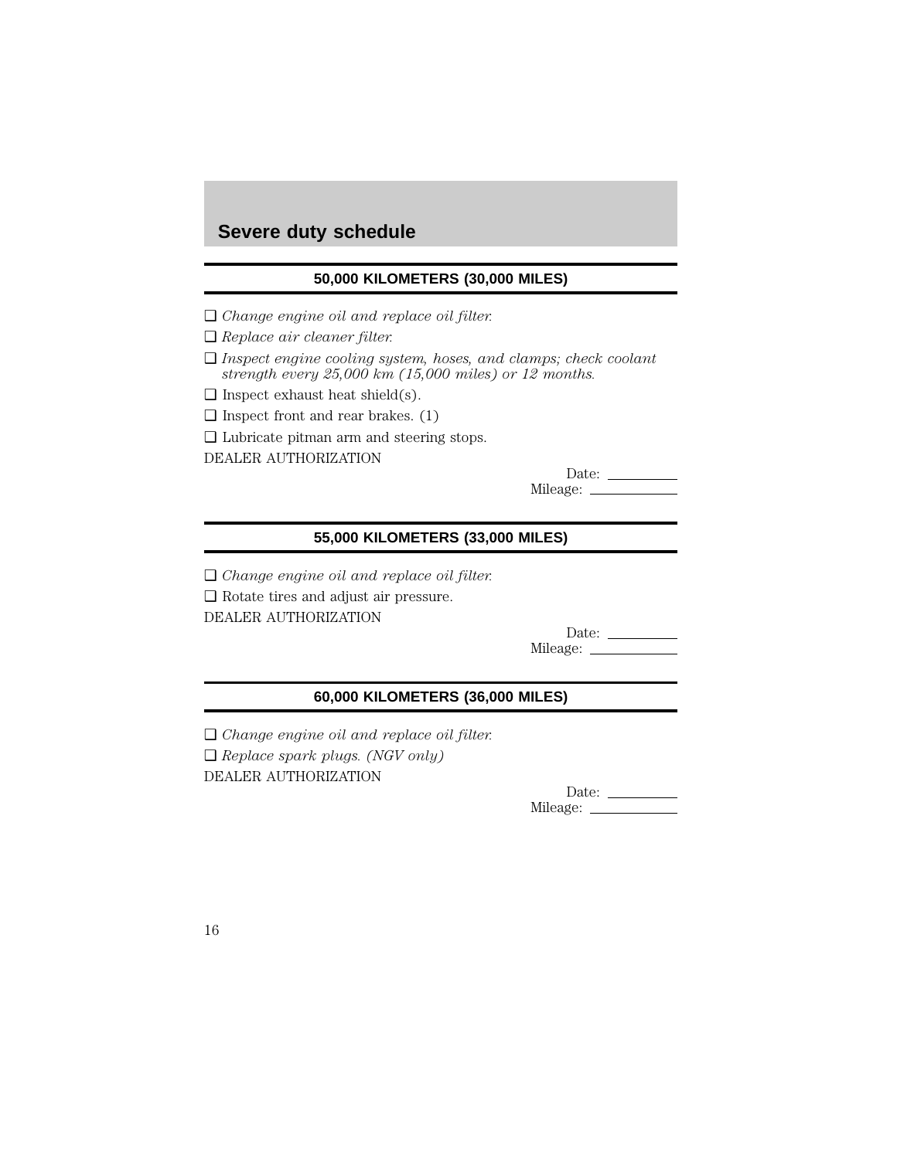## **50,000 KILOMETERS (30,000 MILES)**

- ❑ *Change engine oil and replace oil filter.*
- ❑ *Replace air cleaner filter.*
- ❑ *Inspect engine cooling system, hoses, and clamps; check coolant strength every 25,000 km (15,000 miles) or 12 months.*
- $\Box$  Inspect exhaust heat shield(s).
- $\Box$  Inspect front and rear brakes. (1)
- ❑ Lubricate pitman arm and steering stops.

DEALER AUTHORIZATION

Date: Mileage:

### **55,000 KILOMETERS (33,000 MILES)**

❑ *Change engine oil and replace oil filter.* ❑ Rotate tires and adjust air pressure. DEALER AUTHORIZATION

> Date: Mileage:

### **60,000 KILOMETERS (36,000 MILES)**

❑ *Change engine oil and replace oil filter.* ❑ *Replace spark plugs. (NGV only)* DEALER AUTHORIZATION

| Date:    |  |
|----------|--|
| Mileage: |  |

| ۰.<br>w<br>v |
|--------------|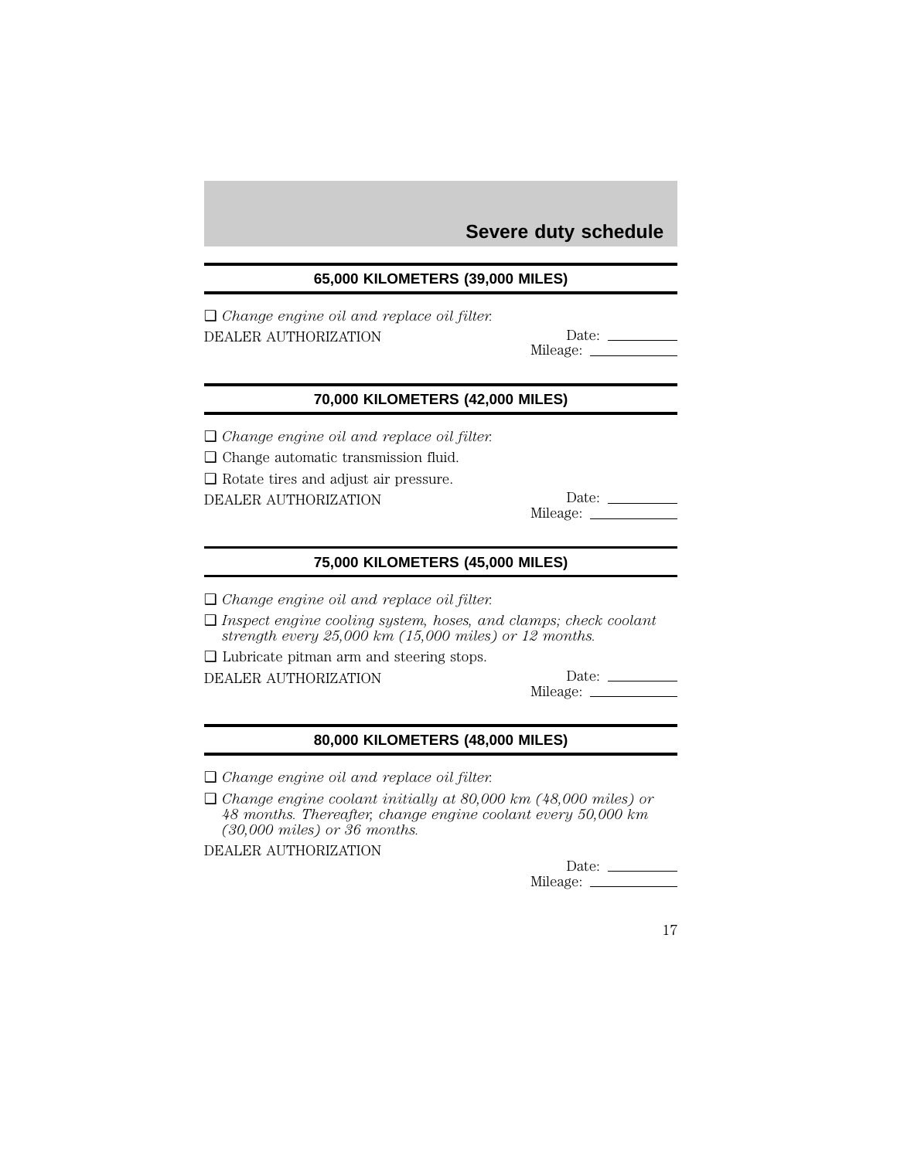## **65,000 KILOMETERS (39,000 MILES)**

❑ *Change engine oil and replace oil filter.* DEALER AUTHORIZATION

| Date:    |  |
|----------|--|
| Mileage: |  |

## **70,000 KILOMETERS (42,000 MILES)**

❑ *Change engine oil and replace oil filter.*

❑ Change automatic transmission fluid.

❑ Rotate tires and adjust air pressure.

DEALER AUTHORIZATION Date:

Mileage:

#### **75,000 KILOMETERS (45,000 MILES)**

❑ *Change engine oil and replace oil filter.*

❑ *Inspect engine cooling system, hoses, and clamps; check coolant strength every 25,000 km (15,000 miles) or 12 months.*

❑ Lubricate pitman arm and steering stops.

DEALER AUTHORIZATION Date: \_\_\_\_\_\_

Mileage:

## **80,000 KILOMETERS (48,000 MILES)**

❑ *Change engine oil and replace oil filter.*

❑ *Change engine coolant initially at 80,000 km (48,000 miles) or 48 months. Thereafter, change engine coolant every 50,000 km (30,000 miles) or 36 months.*

DEALER AUTHORIZATION

Date: Mileage: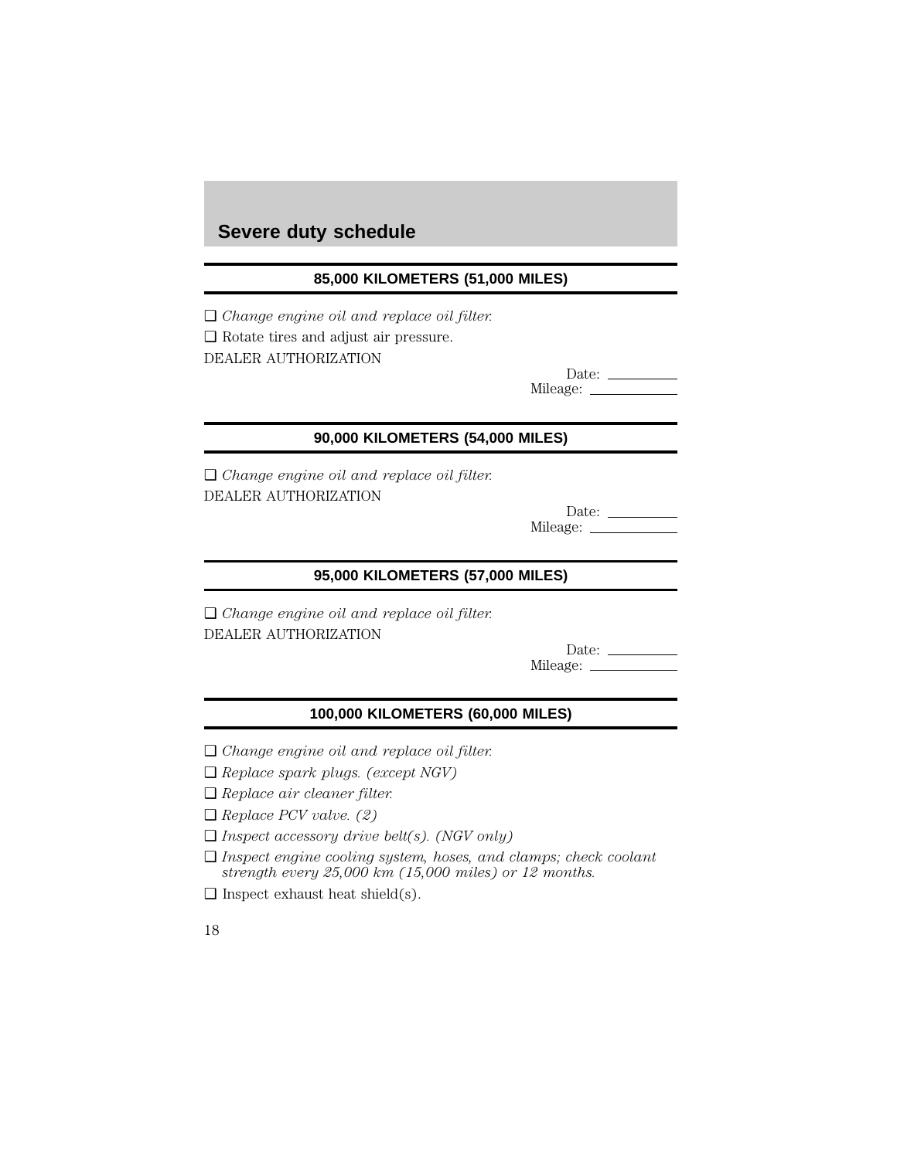## **85,000 KILOMETERS (51,000 MILES)**

❑ *Change engine oil and replace oil filter.* ❑ Rotate tires and adjust air pressure. DEALER AUTHORIZATION

| Date:    |  |
|----------|--|
| Mileage: |  |

### **90,000 KILOMETERS (54,000 MILES)**

❑ *Change engine oil and replace oil filter.* DEALER AUTHORIZATION

| Date:    |  |
|----------|--|
| Mileage: |  |

#### **95,000 KILOMETERS (57,000 MILES)**

❑ *Change engine oil and replace oil filter.* DEALER AUTHORIZATION

| Date:    |  |
|----------|--|
| Mileage: |  |

## **100,000 KILOMETERS (60,000 MILES)**

- ❑ *Change engine oil and replace oil filter.*
- ❑ *Replace spark plugs. (except NGV)*
- ❑ *Replace air cleaner filter.*
- ❑ *Replace PCV valve. (2)*
- ❑ *Inspect accessory drive belt(s). (NGV only)*
- ❑ *Inspect engine cooling system, hoses, and clamps; check coolant strength every 25,000 km (15,000 miles) or 12 months.*
- $\Box$  Inspect exhaust heat shield(s).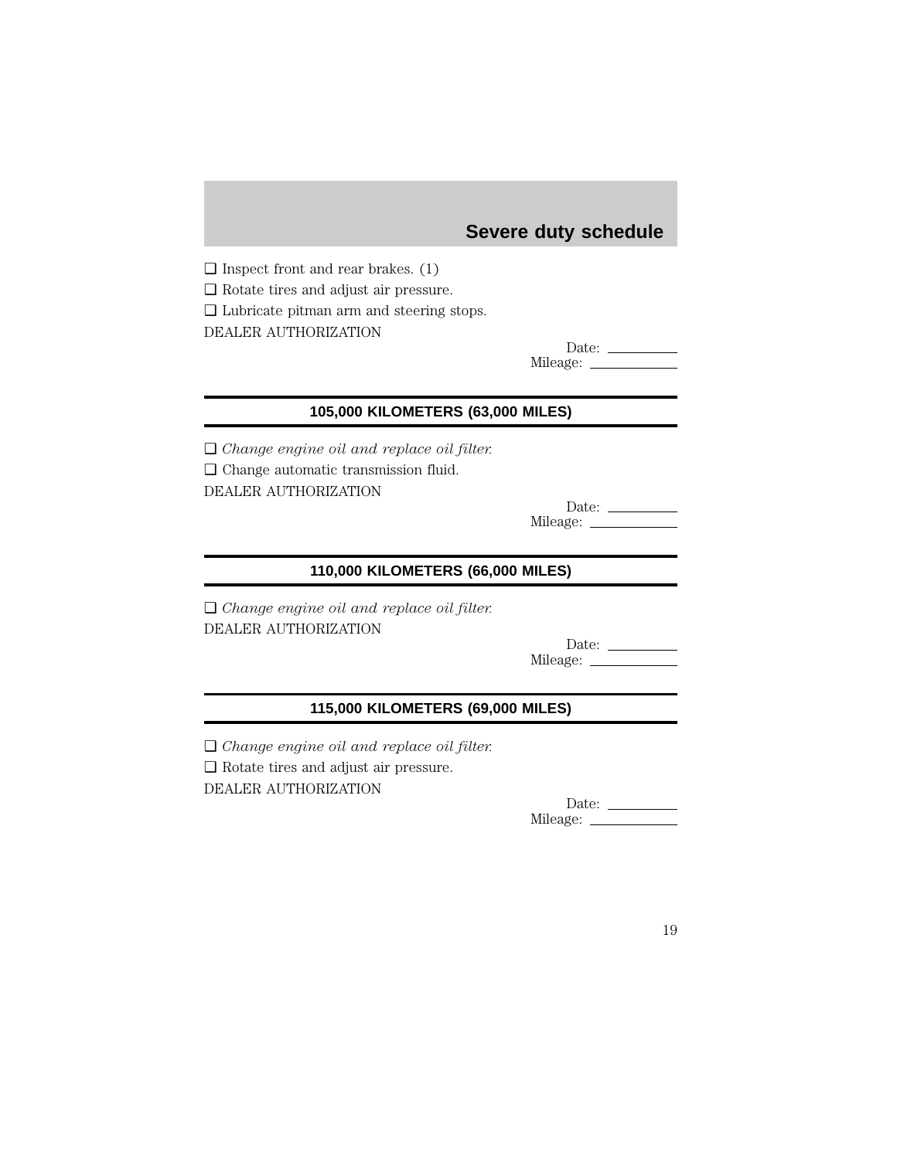$\Box$  Inspect front and rear brakes. (1)

❑ Rotate tires and adjust air pressure.

❑ Lubricate pitman arm and steering stops.

DEALER AUTHORIZATION

| Date:    |  |
|----------|--|
| Mileage: |  |

## **105,000 KILOMETERS (63,000 MILES)**

❑ *Change engine oil and replace oil filter.*

❑ Change automatic transmission fluid.

DEALER AUTHORIZATION

Date: Mileage:

## **110,000 KILOMETERS (66,000 MILES)**

❑ *Change engine oil and replace oil filter.* DEALER AUTHORIZATION

Date: Mileage:

## **115,000 KILOMETERS (69,000 MILES)**

❑ *Change engine oil and replace oil filter.*

❑ Rotate tires and adjust air pressure.

DEALER AUTHORIZATION

Date: Mileage: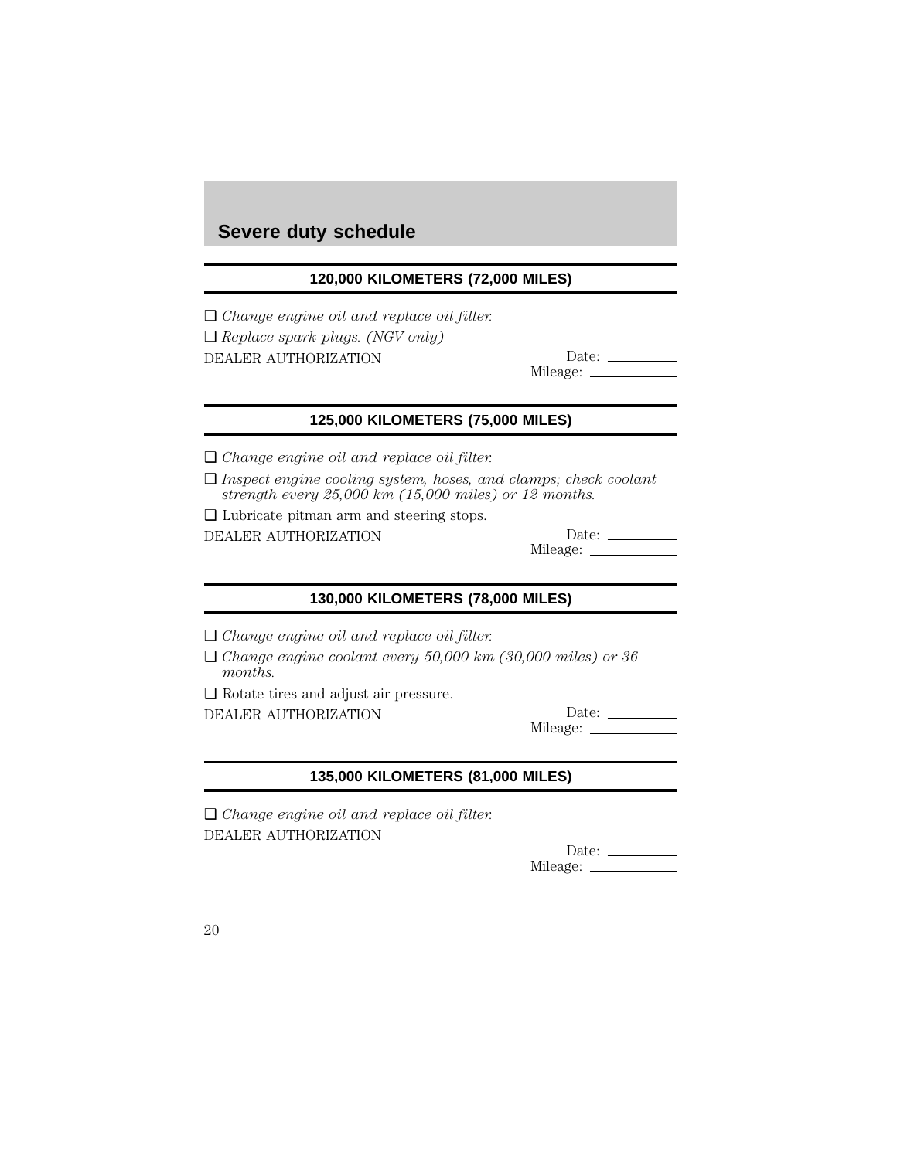### **120,000 KILOMETERS (72,000 MILES)**

❑ *Change engine oil and replace oil filter.* ❑ *Replace spark plugs. (NGV only)* DEALER AUTHORIZATION

| Date:    |  |
|----------|--|
| Mileage: |  |

#### **125,000 KILOMETERS (75,000 MILES)**

❑ *Change engine oil and replace oil filter.*

❑ *Inspect engine cooling system, hoses, and clamps; check coolant strength every 25,000 km (15,000 miles) or 12 months.*

❑ Lubricate pitman arm and steering stops.

DEALER AUTHORIZATION

| Date:    |  |
|----------|--|
| Mileage: |  |

#### **130,000 KILOMETERS (78,000 MILES)**

❑ *Change engine oil and replace oil filter.*

❑ *Change engine coolant every 50,000 km (30,000 miles) or 36 months.*

❑ Rotate tires and adjust air pressure.

DEALER AUTHORIZATION Date: Mileage:

#### **135,000 KILOMETERS (81,000 MILES)**

❑ *Change engine oil and replace oil filter.* DEALER AUTHORIZATION

Date: Mileage: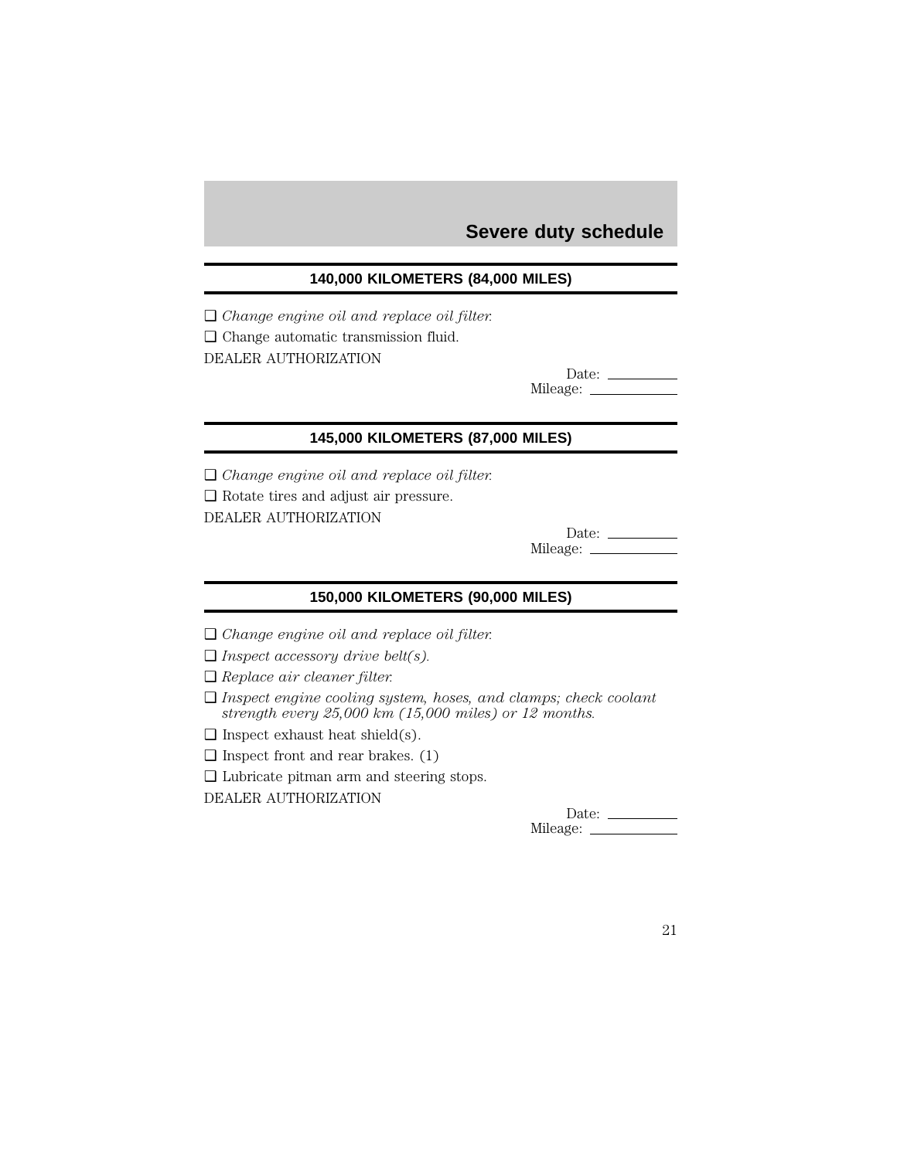## **140,000 KILOMETERS (84,000 MILES)**

❑ *Change engine oil and replace oil filter.* ❑ Change automatic transmission fluid. DEALER AUTHORIZATION

| Date:    |  |
|----------|--|
| Mileage: |  |

## **145,000 KILOMETERS (87,000 MILES)**

❑ *Change engine oil and replace oil filter.* ❑ Rotate tires and adjust air pressure. DEALER AUTHORIZATION

| Date:    |  |
|----------|--|
| Mileage: |  |

## **150,000 KILOMETERS (90,000 MILES)**

❑ *Change engine oil and replace oil filter.*

❑ *Inspect accessory drive belt(s).*

❑ *Replace air cleaner filter.*

| $\Box$ Inspect engine cooling system, hoses, and clamps; check coolant |  |  |  |  |
|------------------------------------------------------------------------|--|--|--|--|
| strength every $25,000 \; km \; (15,000 \; miles)$ or 12 months.       |  |  |  |  |

- $\Box$  Inspect exhaust heat shield(s).
- $\Box$  Inspect front and rear brakes. (1)
- ❑ Lubricate pitman arm and steering stops.

DEALER AUTHORIZATION

Date: Mileage: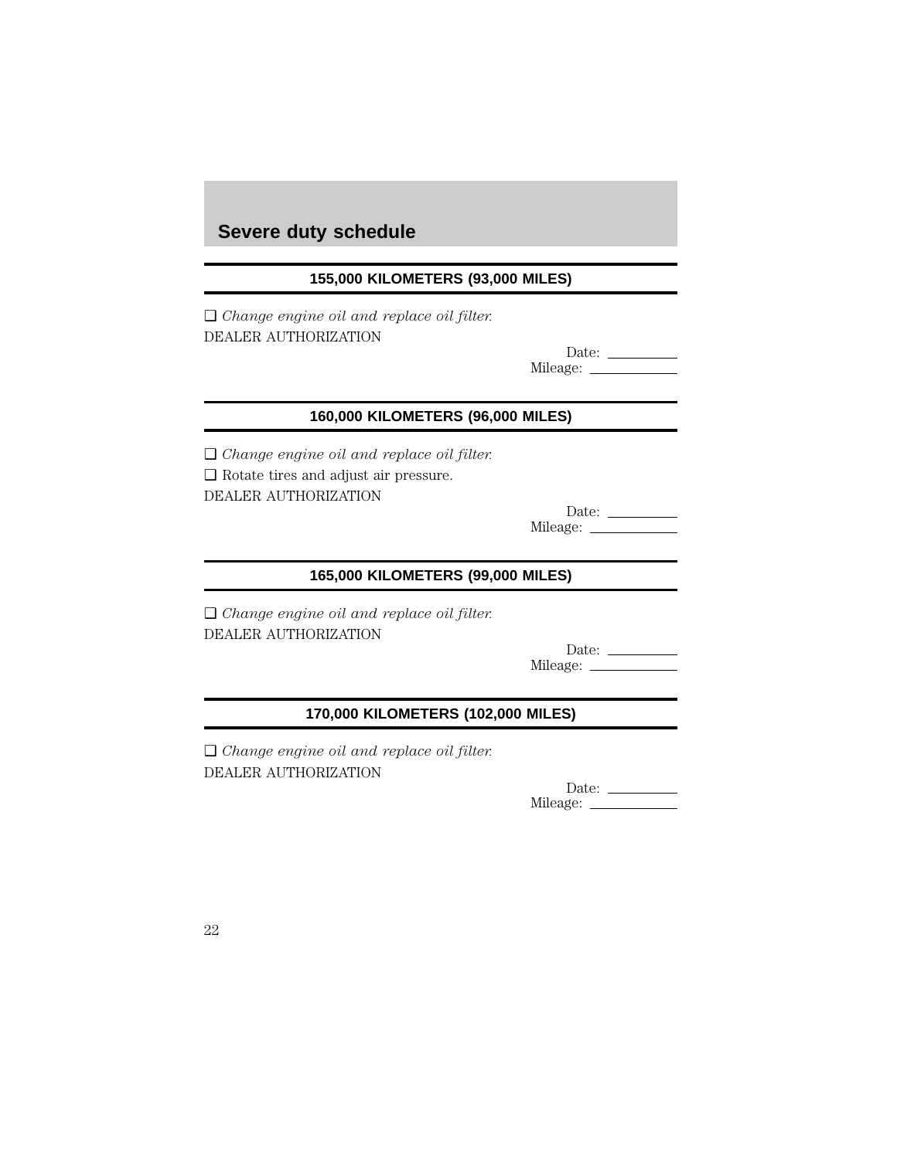## **155,000 KILOMETERS (93,000 MILES)**

❑ *Change engine oil and replace oil filter.* DEALER AUTHORIZATION

| Date:    |  |
|----------|--|
| Mileage: |  |

## **160,000 KILOMETERS (96,000 MILES)**

❑ *Change engine oil and replace oil filter.* ❑ Rotate tires and adjust air pressure. DEALER AUTHORIZATION

| Date:    |  |
|----------|--|
| Mileage: |  |

## **165,000 KILOMETERS (99,000 MILES)**

❑ *Change engine oil and replace oil filter.* DEALER AUTHORIZATION

Date: Mileage:

## **170,000 KILOMETERS (102,000 MILES)**

❑ *Change engine oil and replace oil filter.* DEALER AUTHORIZATION

> Date: \_\_\_\_\_\_\_\_\_\_ Mileage: \_\_\_\_\_\_\_\_\_\_\_\_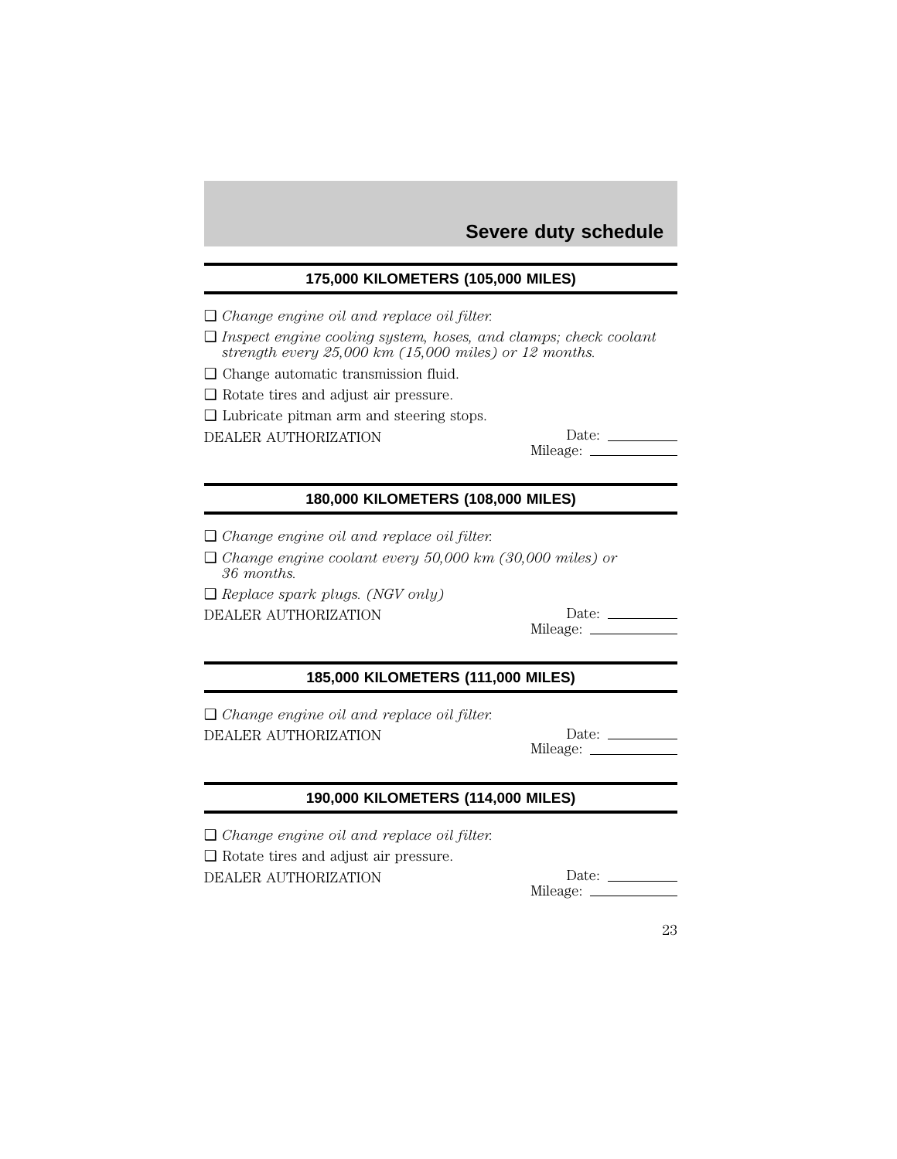## **175,000 KILOMETERS (105,000 MILES)**

❑ *Change engine oil and replace oil filter.*

❑ *Inspect engine cooling system, hoses, and clamps; check coolant strength every 25,000 km (15,000 miles) or 12 months.*

❑ Change automatic transmission fluid.

❑ Rotate tires and adjust air pressure.

❑ Lubricate pitman arm and steering stops.

DEALER AUTHORIZATION

| Date:    |  |
|----------|--|
| Mileage: |  |

## **180,000 KILOMETERS (108,000 MILES)**

❑ *Change engine oil and replace oil filter.*

❑ *Change engine coolant every 50,000 km (30,000 miles) or 36 months.*

❑ *Replace spark plugs. (NGV only)*

DEALER AUTHORIZATION Date: <u>\_\_</u>

Mileage:

## **185,000 KILOMETERS (111,000 MILES)**

❑ *Change engine oil and replace oil filter.* DEALER AUTHORIZATION Date: \_\_\_\_\_\_\_\_

Mileage:

### **190,000 KILOMETERS (114,000 MILES)**

❑ *Change engine oil and replace oil filter.*

❑ Rotate tires and adjust air pressure.

DEALER AUTHORIZATION Date:

Mileage: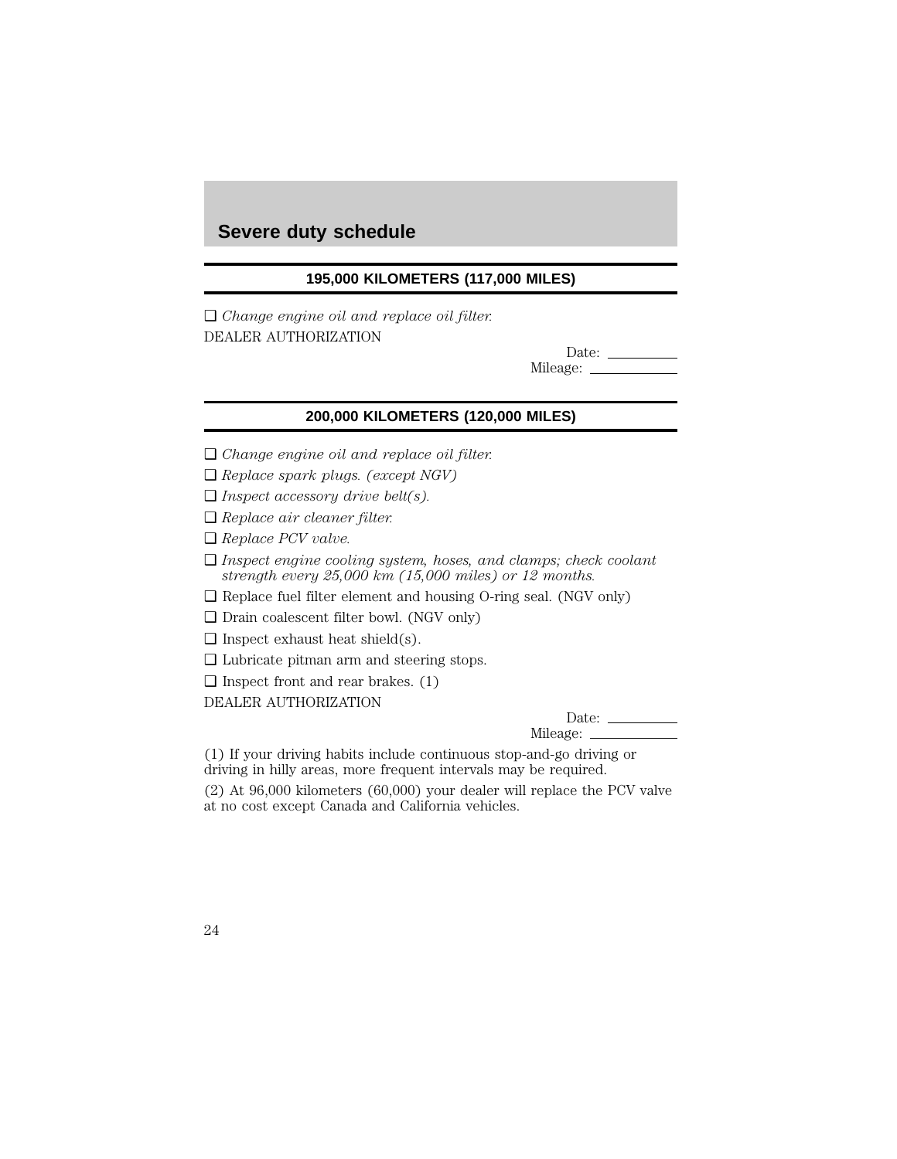#### **195,000 KILOMETERS (117,000 MILES)**

❑ *Change engine oil and replace oil filter.* DEALER AUTHORIZATION

| Date:    |  |
|----------|--|
| Mileage: |  |

#### **200,000 KILOMETERS (120,000 MILES)**

- ❑ *Change engine oil and replace oil filter.*
- ❑ *Replace spark plugs. (except NGV)*
- ❑ *Inspect accessory drive belt(s).*
- ❑ *Replace air cleaner filter.*
- ❑ *Replace PCV valve.*
- ❑ *Inspect engine cooling system, hoses, and clamps; check coolant strength every 25,000 km (15,000 miles) or 12 months.*
- ❑ Replace fuel filter element and housing O-ring seal. (NGV only)
- ❑ Drain coalescent filter bowl. (NGV only)
- $\Box$  Inspect exhaust heat shield(s).
- ❑ Lubricate pitman arm and steering stops.
- $\Box$  Inspect front and rear brakes. (1)

DEALER AUTHORIZATION

Date:  $\_\_$ Mileage:

(1) If your driving habits include continuous stop-and-go driving or driving in hilly areas, more frequent intervals may be required.

(2) At 96,000 kilometers (60,000) your dealer will replace the PCV valve at no cost except Canada and California vehicles.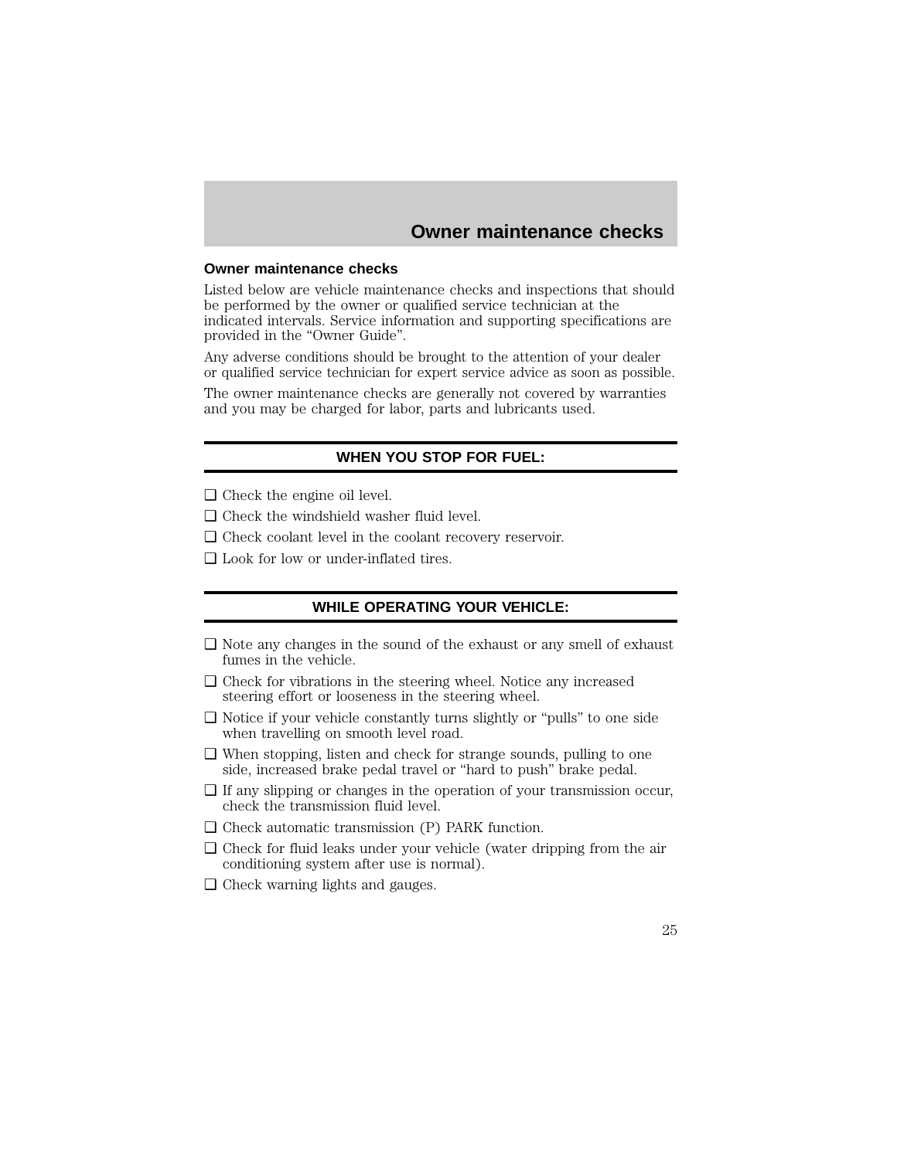## **Owner maintenance checks**

#### **Owner maintenance checks**

Listed below are vehicle maintenance checks and inspections that should be performed by the owner or qualified service technician at the indicated intervals. Service information and supporting specifications are provided in the "Owner Guide".

Any adverse conditions should be brought to the attention of your dealer or qualified service technician for expert service advice as soon as possible.

The owner maintenance checks are generally not covered by warranties and you may be charged for labor, parts and lubricants used.

## **WHEN YOU STOP FOR FUEL:**

- ❑ Check the engine oil level.
- ❑ Check the windshield washer fluid level.
- ❑ Check coolant level in the coolant recovery reservoir.
- ❑ Look for low or under-inflated tires.

### **WHILE OPERATING YOUR VEHICLE:**

- ❑ Note any changes in the sound of the exhaust or any smell of exhaust fumes in the vehicle.
- ❑ Check for vibrations in the steering wheel. Notice any increased steering effort or looseness in the steering wheel.
- ❑ Notice if your vehicle constantly turns slightly or "pulls" to one side when travelling on smooth level road.
- ❑ When stopping, listen and check for strange sounds, pulling to one side, increased brake pedal travel or "hard to push" brake pedal.
- $\Box$  If any slipping or changes in the operation of your transmission occur, check the transmission fluid level.
- ❑ Check automatic transmission (P) PARK function.
- ❑ Check for fluid leaks under your vehicle (water dripping from the air conditioning system after use is normal).
- ❑ Check warning lights and gauges.